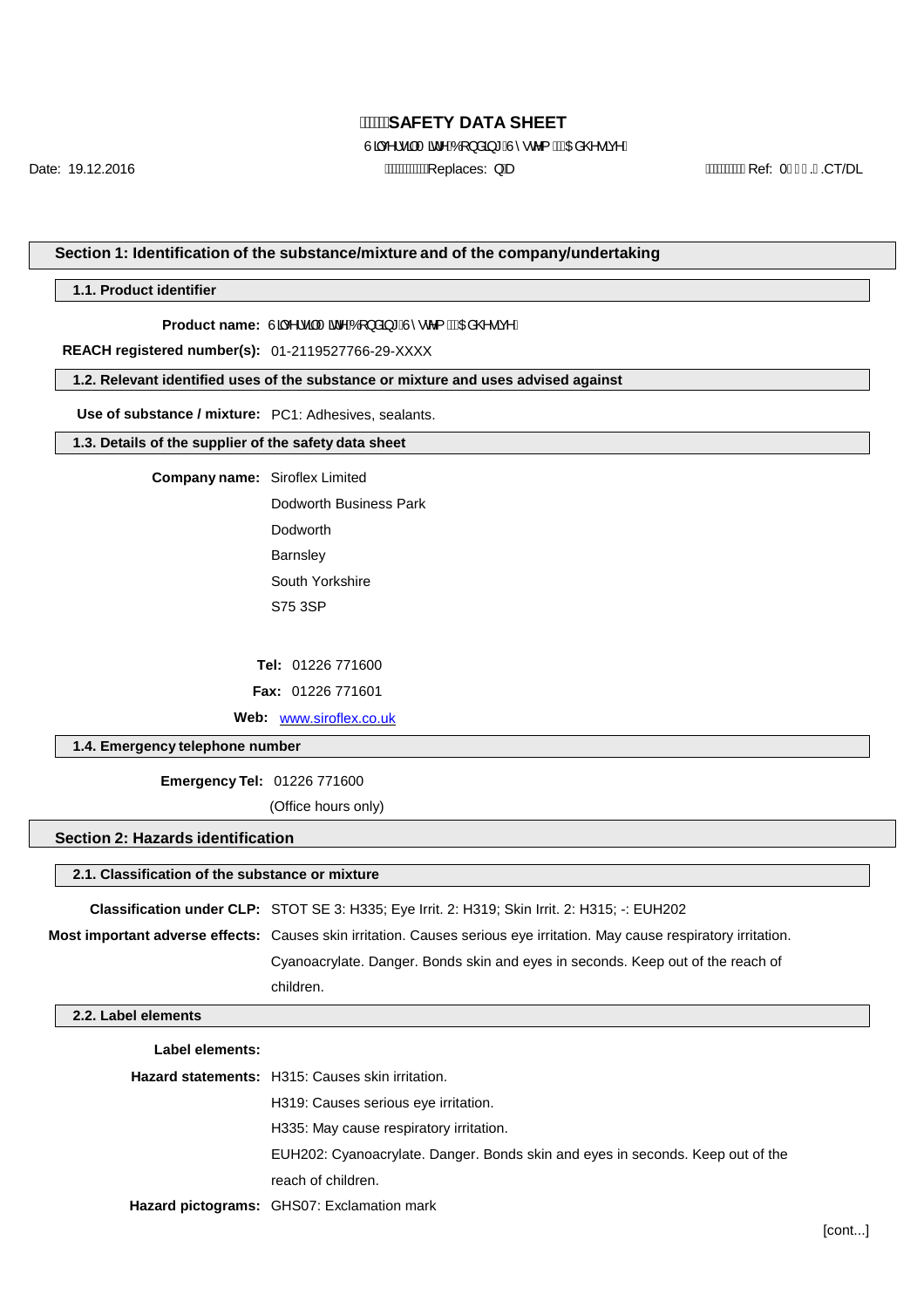Uąc^!• an at^AO } a a \* A 0 ° c^{ A (CE @ • a ^ D

Date: 19.12.2016 Replaces: QD Ref: 0..CT/DL

#### **Section 1: Identification of the substance/mixture and of the company/undertaking**

**1.1. Product identifier**

Product name: Un<sup>x1</sup>·a<sup>t</sup> and an AQ } and \* AT · c {  $\hat{A}$ CE @ · a<sup>x</sup>D

**REACH registered number(s):** 01-2119527766-29-XXXX

**1.2. Relevant identified uses of the substance or mixture and uses advised against**

**Use of substance / mixture:** PC1: Adhesives, sealants.

#### **1.3. Details of the supplier of the safety data sheet**

**Company name:** Siroflex Limited

Dodworth Business Park Dodworth **Barnsley** South Yorkshire S75 3SP

**Tel:** 01226 771600

**Fax:** 01226 771601

**Web:** [www.siroflex.co.uk](http://www.siroflex.co.uk/)

#### **1.4. Emergency telephone number**

**Emergency Tel:** 01226 771600

(Office hours only)

#### **Section 2: Hazards identification**

#### **2.1. Classification of the substance or mixture**

**Classification under CLP:** STOT SE 3: H335; Eye Irrit. 2: H319; Skin Irrit. 2: H315; -: EUH202

**Most important adverse effects:** Causes skin irritation. Causes serious eye irritation. May cause respiratory irritation.

Cyanoacrylate. Danger. Bonds skin and eyes in seconds. Keep out of the reach of children.

#### **2.2. Label elements**

| Label elements: |                                                                                |
|-----------------|--------------------------------------------------------------------------------|
|                 | <b>Hazard statements:</b> H315: Causes skin irritation.                        |
|                 | H319: Causes serious eve irritation.                                           |
|                 | H335: May cause respiratory irritation.                                        |
|                 | EUH202: Cyanoacrylate. Danger. Bonds skin and eyes in seconds. Keep out of the |
|                 | reach of children.                                                             |
|                 | Hazard pictograms: GHS07: Exclamation mark                                     |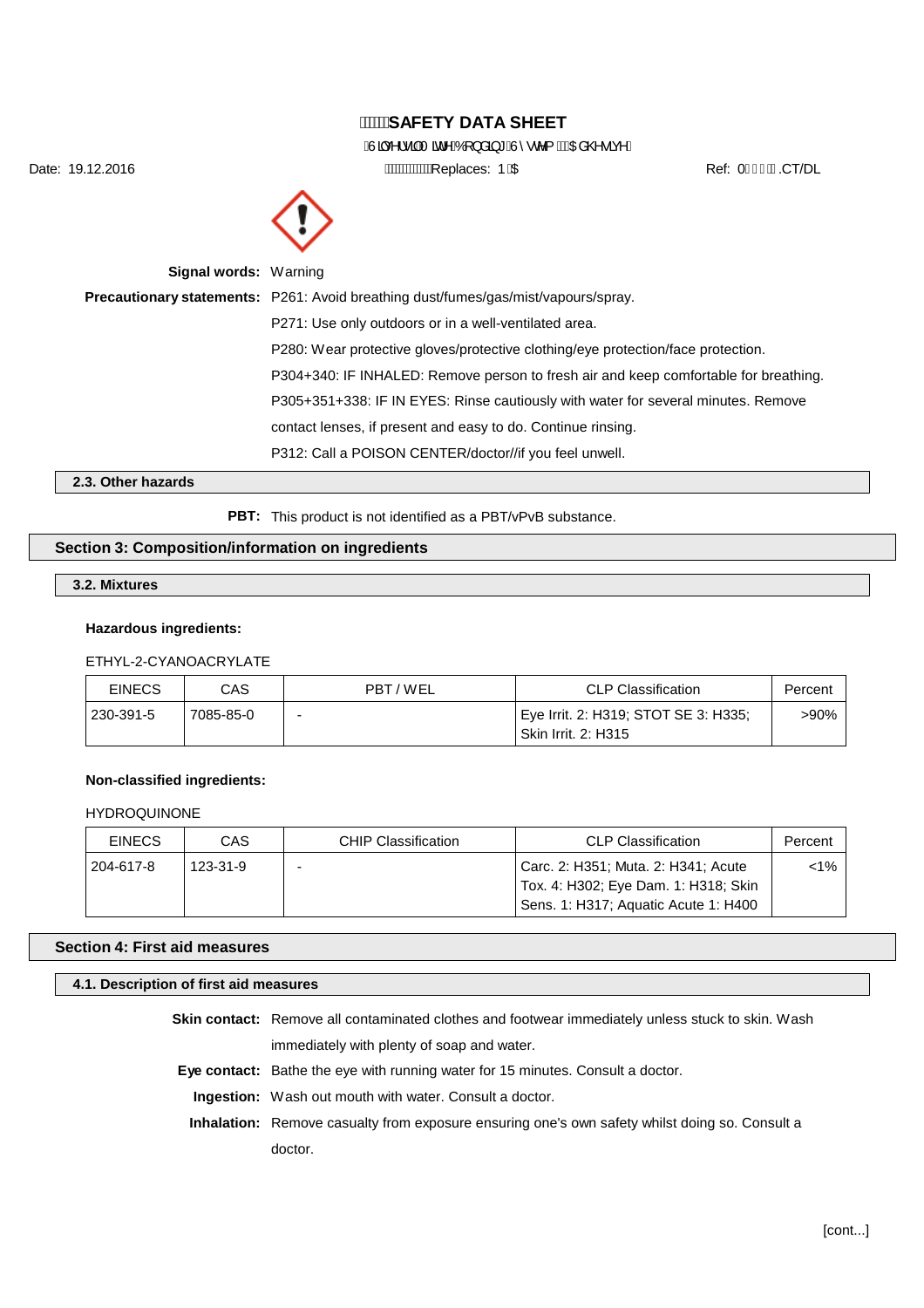ÁUa<sub>c</sub>∧¦•a ÁT ad ^ÁÓ [} å a \* ÁU ° c^{ ÁKCEa @ • a c^D

Date: 19.12.2016 **AWWWW.Communicates: DECLARGIST PECLARGIST PECLARGIST PECLARGIST PECLARGIST PECLARGIST PECLARGIST PECLARGIST PECLARGIST PECLARGIST PECLARGIST PECLARGIST PECLARGIST PECLARGIST PECLARGIST PERLETTION AND TRIS** 



| <b>Signal words: Warning</b> |                                                                                           |
|------------------------------|-------------------------------------------------------------------------------------------|
|                              | <b>Precautionary statements:</b> P261: Avoid breathing dust/fumes/gas/mist/vapours/spray. |
|                              | P271: Use only outdoors or in a well-ventilated area.                                     |
|                              | P280: Wear protective gloves/protective clothing/eye protection/face protection.          |
|                              | P304+340: IF INHALED: Remove person to fresh air and keep comfortable for breathing.      |
|                              | P305+351+338: IF IN EYES: Rinse cautiously with water for several minutes. Remove         |
|                              | contact lenses, if present and easy to do. Continue rinsing.                              |
|                              | P312: Call a POISON CENTER/doctor//if you feel unwell.                                    |
| 1.0. Otto - La - - - - - -   |                                                                                           |

**2.3. Other hazards**

PBT: This product is not identified as a PBT/vPvB substance.

#### **Section 3: Composition/information on ingredients**

#### **3.2. Mixtures**

#### **Hazardous ingredients:**

## ETHYL-2-CYANOACRYLATE

| <b>EINECS</b> | CAS       | PBT/WEL | <b>CLP Classification</b>                                          | Percent |
|---------------|-----------|---------|--------------------------------------------------------------------|---------|
| 230-391-5     | 7085-85-0 |         | Eye Irrit. 2: H319; STOT SE 3: H335;<br><b>Skin Irrit. 2: H315</b> | >90%    |

#### **Non-classified ingredients:**

#### HYDROQUINONE

| <b>EINECS</b> | CAS      | <b>CHIP Classification</b> | <b>CLP Classification</b>                                                   | Percent |
|---------------|----------|----------------------------|-----------------------------------------------------------------------------|---------|
| 204-617-8     | 123-31-9 |                            | Carc. 2: H351; Muta. 2: H341; Acute<br>Tox. 4: H302; Eye Dam. 1: H318; Skin | $< 1\%$ |
|               |          |                            | Sens. 1: H317; Aquatic Acute 1: H400                                        |         |

#### **Section 4: First aid measures**

#### **4.1. Description of first aid measures**

**Skin contact:** Remove all contaminated clothes and footwear immediately unless stuck to skin. Wash immediately with plenty of soap and water.

**Eye contact:** Bathe the eye with running water for 15 minutes. Consult a doctor.

**Ingestion:** Wash out mouth with water. Consult a doctor.

**Inhalation:** Remove casualty from exposure ensuring one's own safety whilst doing so. Consult a doctor.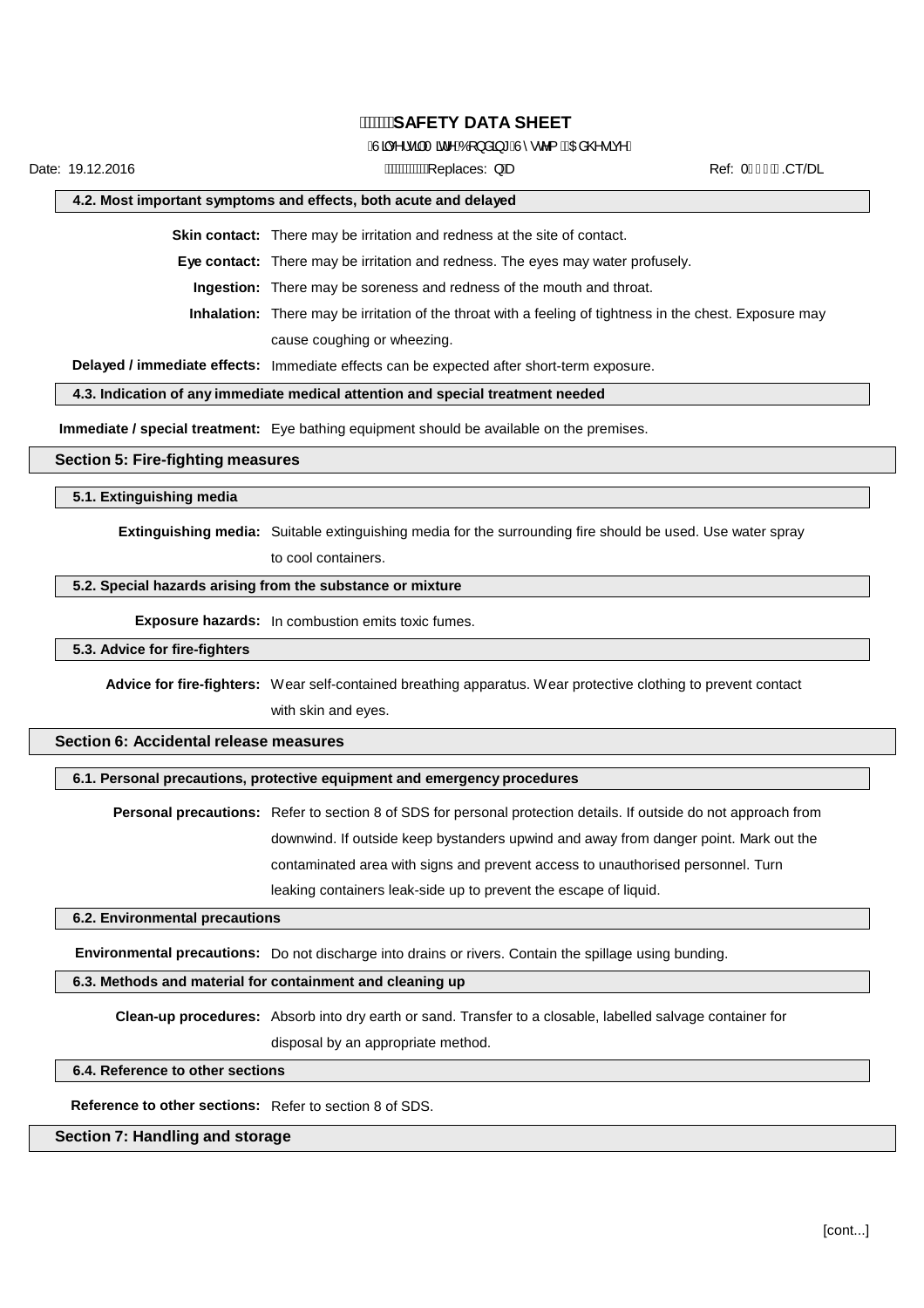#### Auac^I•aATad^AOT}åa \* Au^•c^{ ACDa@•anD

Date: 19.12.2016 Replaces: QD Ref: 0.CT/DL

#### **4.2. Most important symptoms and effects, both acute and delayed**

**Skin contact:** There may be irritation and redness at the site of contact.

**Eye contact:** There may be irritation and redness. The eyes may water profusely.

**Ingestion:** There may be soreness and redness of the mouth and throat.

**Inhalation:** There may be irritation of the throat with a feeling of tightness in the chest. Exposure may cause coughing or wheezing.

**Delayed / immediate effects:** Immediate effects can be expected after short-term exposure.

#### **4.3. Indication of any immediate medical attention and special treatment needed**

**Immediate / special treatment:** Eye bathing equipment should be available on the premises.

#### **Section 5: Fire-fighting measures**

**5.1. Extinguishing media**

**Extinguishing media:** Suitable extinguishing media for the surrounding fire should be used. Use water spray

to cool containers.

## **5.2. Special hazards arising from the substance or mixture**

**Exposure hazards:** In combustion emits toxic fumes.

#### **5.3. Advice for fire-fighters**

**Advice for fire-fighters:** Wear self-contained breathing apparatus. Wear protective clothing to prevent contact with skin and eyes.

#### **Section 6: Accidental release measures**

#### **6.1. Personal precautions, protective equipment and emergency procedures**

**Personal precautions:** Refer to section 8 of SDS for personal protection details. If outside do not approach from downwind. If outside keep bystanders upwind and away from danger point. Mark out the contaminated area with signs and prevent access to unauthorised personnel. Turn leaking containers leak-side up to prevent the escape of liquid.

#### **6.2. Environmental precautions**

**Environmental precautions:** Do not discharge into drains or rivers. Contain the spillage using bunding.

#### **6.3. Methods and material for containment and cleaning up**

**Clean-up procedures:** Absorb into dry earth or sand. Transfer to a closable, labelled salvage container for disposal by an appropriate method.

#### **6.4. Reference to other sections**

**Reference to other sections:** Refer to section 8 of SDS.

#### **Section 7: Handling and storage**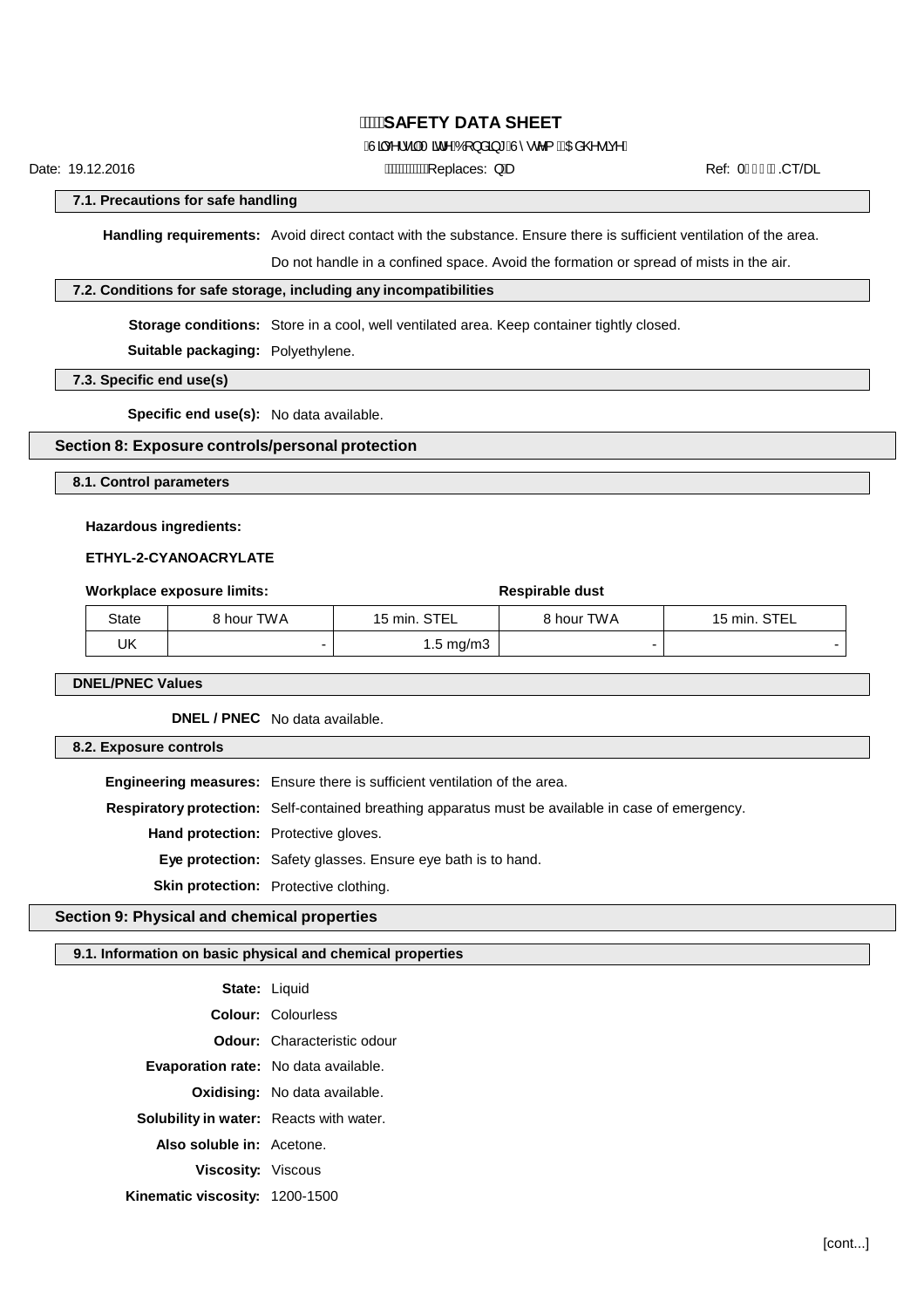## ÂJą̃ç^¦• ą̃AT ati^AÓ [} å aj \* ÂÙ ^• c^{ ACEa @ • aç^D

Date: 19.12.2016 **Date:** CT/DL AMAXWAXEDIACes: } Be **Ref: 0H** <del>C</del>ECT/DL

**7.1. Precautions for safe handling**

**Handling requirements:** Avoid direct contact with the substance. Ensure there is sufficient ventilation of the area.

Do not handle in a confined space. Avoid the formation or spread of mists in the air.

#### **7.2. Conditions for safe storage, including any incompatibilities**

**Storage conditions:** Store in a cool, well ventilated area. Keep container tightly closed.

**Suitable packaging:** Polyethylene.

#### **7.3. Specific end use(s)**

**Specific end use(s):** No data available.

#### **Section 8: Exposure controls/personal protection**

**8.1. Control parameters**

#### **Hazardous ingredients:**

#### **ETHYL-2-CYANOACRYLATE**

| Workplace exposure limits: |            |                      | Respirable dust |              |
|----------------------------|------------|----------------------|-----------------|--------------|
| State                      | 8 hour TWA | 15 min. STEL         | 8 hour TWA      | 15 min. STEL |
| UΚ                         |            | $1.5 \text{ ma/m}$ 3 |                 |              |

#### **DNEL/PNEC Values**

**DNEL / PNEC** No data available.

#### **8.2. Exposure controls**

**Engineering measures:** Ensure there is sufficient ventilation of the area. **Respiratory protection:** Self-contained breathing apparatus must be available in case of emergency. **Hand protection:** Protective gloves. **Eye protection:** Safety glasses. Ensure eye bath is to hand. **Skin protection:** Protective clothing.

## **Section 9: Physical and chemical properties**

#### **9.1. Information on basic physical and chemical properties**

| State: Liquid                                  |                                      |
|------------------------------------------------|--------------------------------------|
|                                                | <b>Colour:</b> Colourless            |
|                                                | <b>Odour:</b> Characteristic odour   |
| <b>Evaporation rate:</b> No data available.    |                                      |
|                                                | <b>Oxidising:</b> No data available. |
| <b>Solubility in water:</b> Reacts with water. |                                      |
| Also soluble in: Acetone.                      |                                      |
| <b>Viscosity: Viscous</b>                      |                                      |
| Kinematic viscosity: 1200-1500                 |                                      |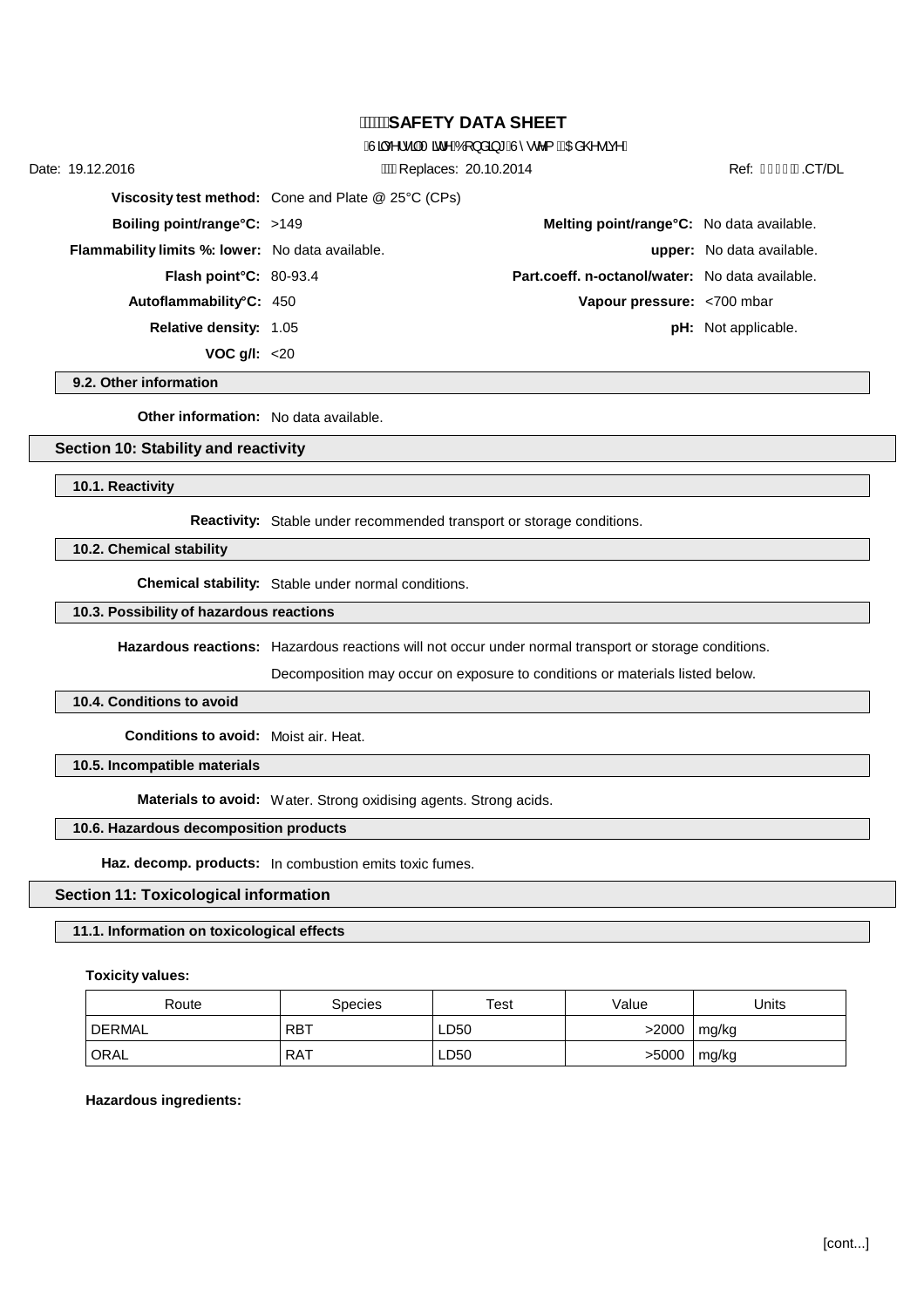### $\hat{A}$ Jac^l•a AT at ^ $\hat{A}$ OT } a a \* $\hat{A}$  $\hat{I}$  • c^{  $\hat{A}$ CEa @ • a  $\hat{a}$ ^D

Date: 19.12.2016 **Date:** 19.12.2016 **AWARED AWARED ACCONSENSE 20.10.2014** Ref: <del>€ I</del> € ECT/DL **Viscosity test method:** Cone and Plate @ 25°C (CPs) **Boiling point/range°C:** >149 **Melting point/range°C:** No data available. **Flammability limits %: lower:** No data available. **upper:** No data available. **Flash point°C:** 80-93.4 **Part.coeff. n-octanol/water:** No data available. **Autoflammability°C:** 450 **Vapour pressure:** <700 mbar **Relative density:** 1.05 **pH:** *Not applicable.* **pH:** *Not applicable.* 

**9.2. Other information**

**Other information:** No data available.

**VOC g/l:** <20

#### **Section 10: Stability and reactivity**

**10.1. Reactivity**

**Reactivity:** Stable under recommended transport or storage conditions.

**10.2. Chemical stability**

**Chemical stability:** Stable under normal conditions.

#### **10.3. Possibility of hazardous reactions**

**Hazardous reactions:** Hazardous reactions will not occur under normal transport or storage conditions.

Decomposition may occur on exposure to conditions or materials listed below.

#### **10.4. Conditions to avoid**

**Conditions to avoid:** Moist air. Heat.

**10.5. Incompatible materials**

**Materials to avoid:** Water. Strong oxidising agents. Strong acids.

#### **10.6. Hazardous decomposition products**

**Haz. decomp. products:** In combustion emits toxic fumes.

#### **Section 11: Toxicological information**

#### **11.1. Information on toxicological effects**

#### **Toxicity values:**

| Route  | <b>Species</b> | Test | Value | Units |
|--------|----------------|------|-------|-------|
| DERMAL | <b>RBT</b>     | LD50 | >2000 | mg/kg |
| ORAL   | RAT            | LD50 | >5000 | mg/kg |

#### **Hazardous ingredients:**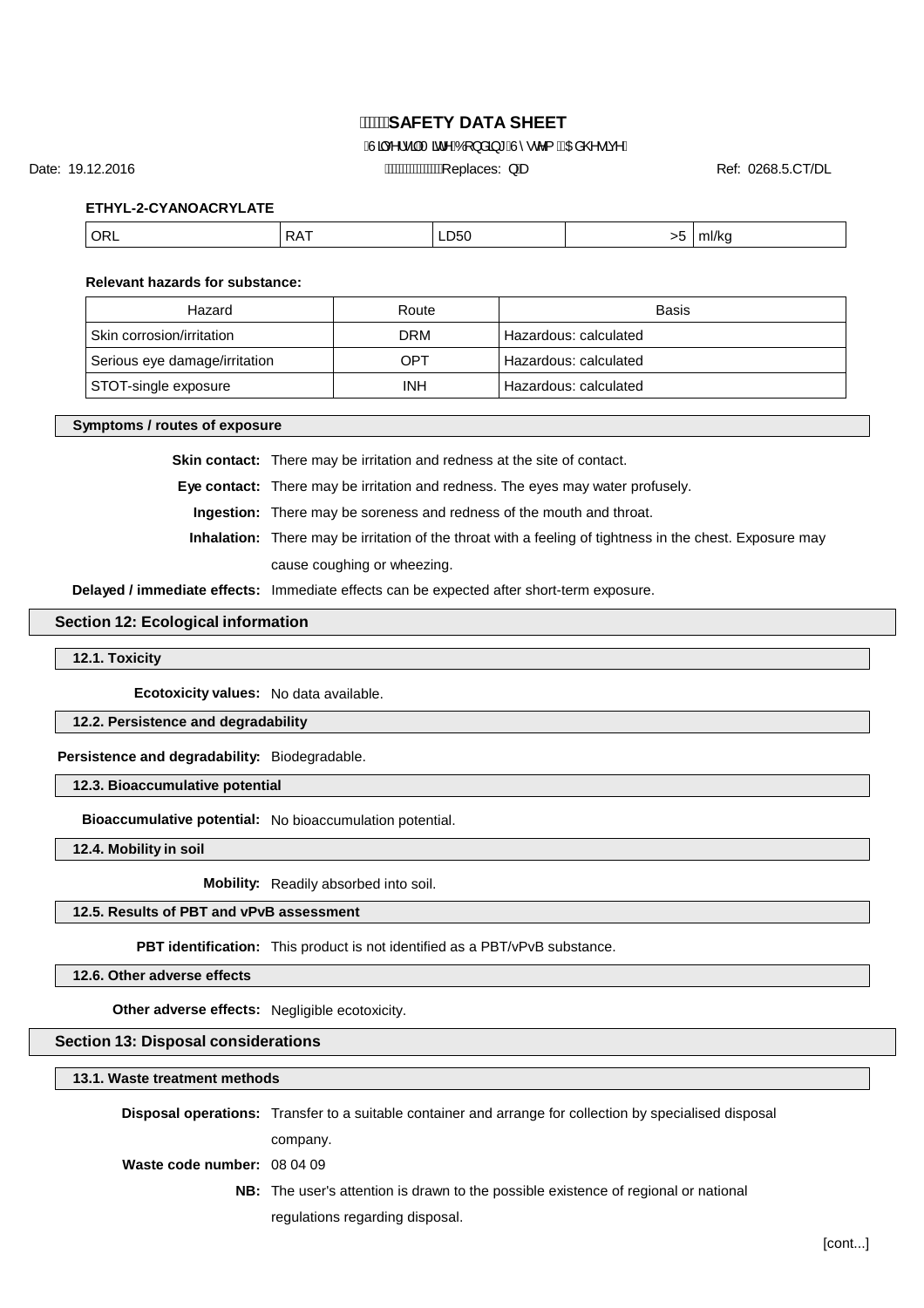## $\hat{A}$ Jac^l•a AT at ^ $\hat{A}$ OT } a a \* $\hat{A}$  $\hat{I}$  • c^{  $\hat{A}$ CEa @ • a  $\hat{a}$ ^D

Date: 19.12.2016 **Ref: 0268.5.CT/DL AMANA Replaces: QD Ref: 0268.5.CT/DL** 

**ETHYL-2-CYANOACRYLATE**

| ORL <sup>'</sup><br>LD50<br>DA <sup>-</sup><br>mi/ku<br><b>NA</b><br>$\sim$<br>___ |
|------------------------------------------------------------------------------------|
|------------------------------------------------------------------------------------|

#### **Relevant hazards for substance:**

| Hazard                        | Route      | <b>Basis</b>          |
|-------------------------------|------------|-----------------------|
| Skin corrosion/irritation     | <b>DRM</b> | Hazardous: calculated |
| Serious eye damage/irritation | OPT        | Hazardous: calculated |
| STOT-single exposure          | INH        | Hazardous: calculated |

#### **Symptoms / routes of exposure**

**Skin contact:** There may be irritation and redness at the site of contact.

**Eye contact:** There may be irritation and redness. The eyes may water profusely.

**Ingestion:** There may be soreness and redness of the mouth and throat.

**Inhalation:** There may be irritation of the throat with a feeling of tightness in the chest. Exposure may cause coughing or wheezing.

**Delayed / immediate effects:** Immediate effects can be expected after short-term exposure.

#### **Section 12: Ecological information**

**12.1. Toxicity**

**Ecotoxicity values:** No data available.

**12.2. Persistence and degradability**

**Persistence and degradability:** Biodegradable.

**12.3. Bioaccumulative potential**

**Bioaccumulative potential:** No bioaccumulation potential.

**12.4. Mobility in soil**

**Mobility:** Readily absorbed into soil.

**12.5. Results of PBT and vPvB assessment**

**PBT identification:** This product is not identified as a PBT/vPvB substance.

**12.6. Other adverse effects**

**Other adverse effects:** Negligible ecotoxicity.

#### **Section 13: Disposal considerations**

**13.1. Waste treatment methods**

|                             | <b>Disposal operations:</b> Transfer to a suitable container and arrange for collection by specialised disposal |  |
|-----------------------------|-----------------------------------------------------------------------------------------------------------------|--|
|                             | company.                                                                                                        |  |
| Waste code number: 08 04 09 |                                                                                                                 |  |
|                             | <b>NB:</b> The user's attention is drawn to the possible existence of regional or national                      |  |
|                             | regulations regarding disposal.                                                                                 |  |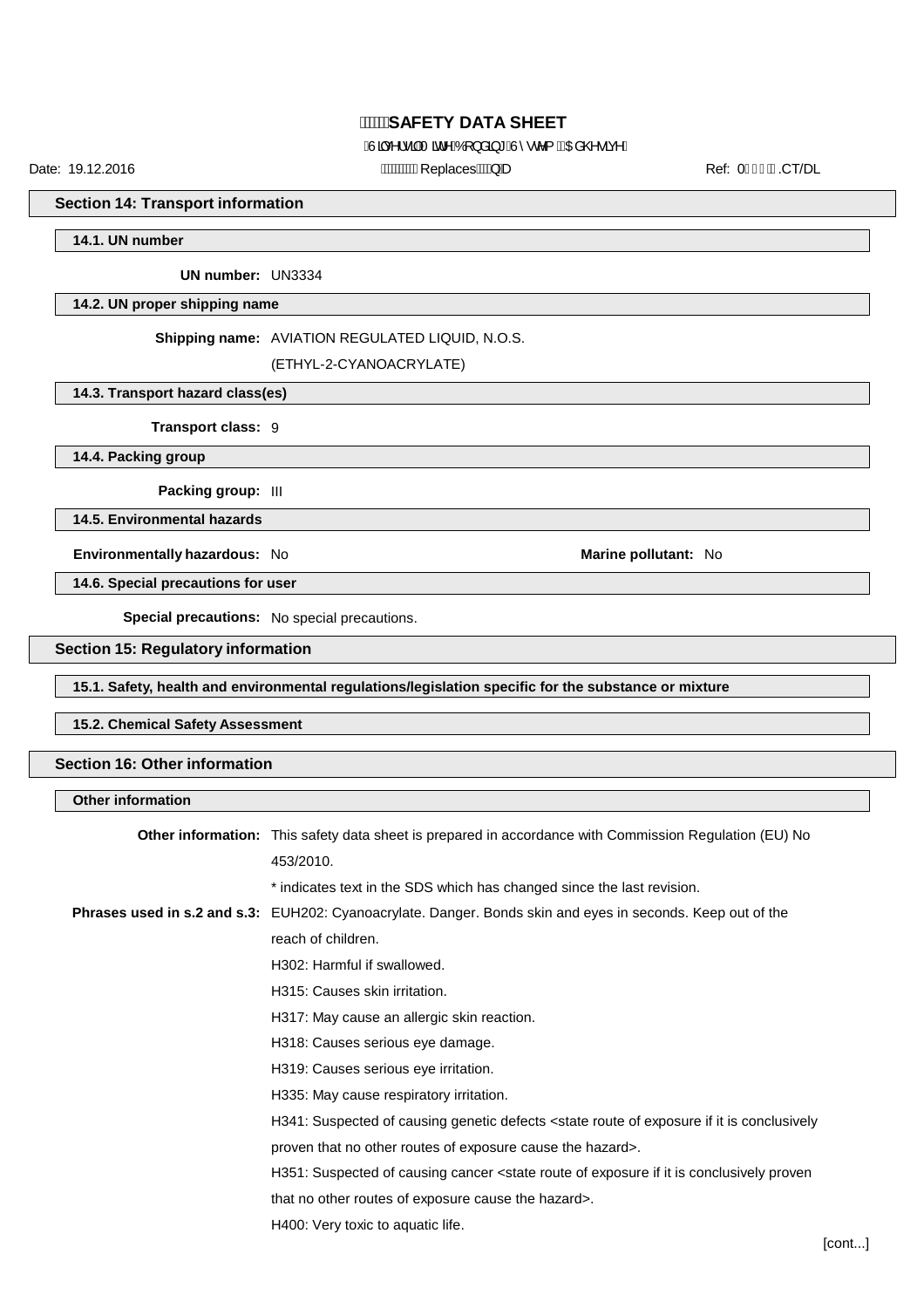## $\hat{A}$ Jac^l•a AT at ^ $\hat{A}$ OT } a a \* $\hat{A}$  $\hat{I}$  • c^{  $\hat{A}$ CEa @ • a  $\hat{a}$ ^D

Date: 19.12.2016 ReplacesQD Ref: 0.CT/DL

**Section 14: Transport information**

**14.1. UN number**

**UN number:** UN3334

#### **14.2. UN proper shipping name**

#### **Shipping name:** AVIATION REGULATED LIQUID, N.O.S.

(ETHYL-2-CYANOACRYLATE)

#### **14.3. Transport hazard class(es)**

**Transport class:** 9

**14.4. Packing group**

**Packing group:** III

**14.5. Environmental hazards**

**Environmentally hazardous:** No **Marine pollutant:** No

**14.6. Special precautions for user**

**Special precautions:** No special precautions.

#### **Section 15: Regulatory information**

**15.1. Safety, health and environmental regulations/legislation specific for the substance or mixture**

#### **15.2. Chemical Safety Assessment**

#### **Section 16: Other information**

# **Other information Other information:** This safety data sheet is prepared in accordance with Commission Regulation (EU) No 453/2010. \* indicates text in the SDS which has changed since the last revision. **Phrases used in s.2 and s.3:** EUH202: Cyanoacrylate. Danger. Bonds skin and eyes in seconds. Keep out of the reach of children. H302: Harmful if swallowed. H315: Causes skin irritation. H317: May cause an allergic skin reaction. H318: Causes serious eye damage. H319: Causes serious eye irritation. H335: May cause respiratory irritation. H341: Suspected of causing genetic defects <state route of exposure if it is conclusively proven that no other routes of exposure cause the hazard>. H351: Suspected of causing cancer <state route of exposure if it is conclusively proven that no other routes of exposure cause the hazard>. H400: Very toxic to aquatic life.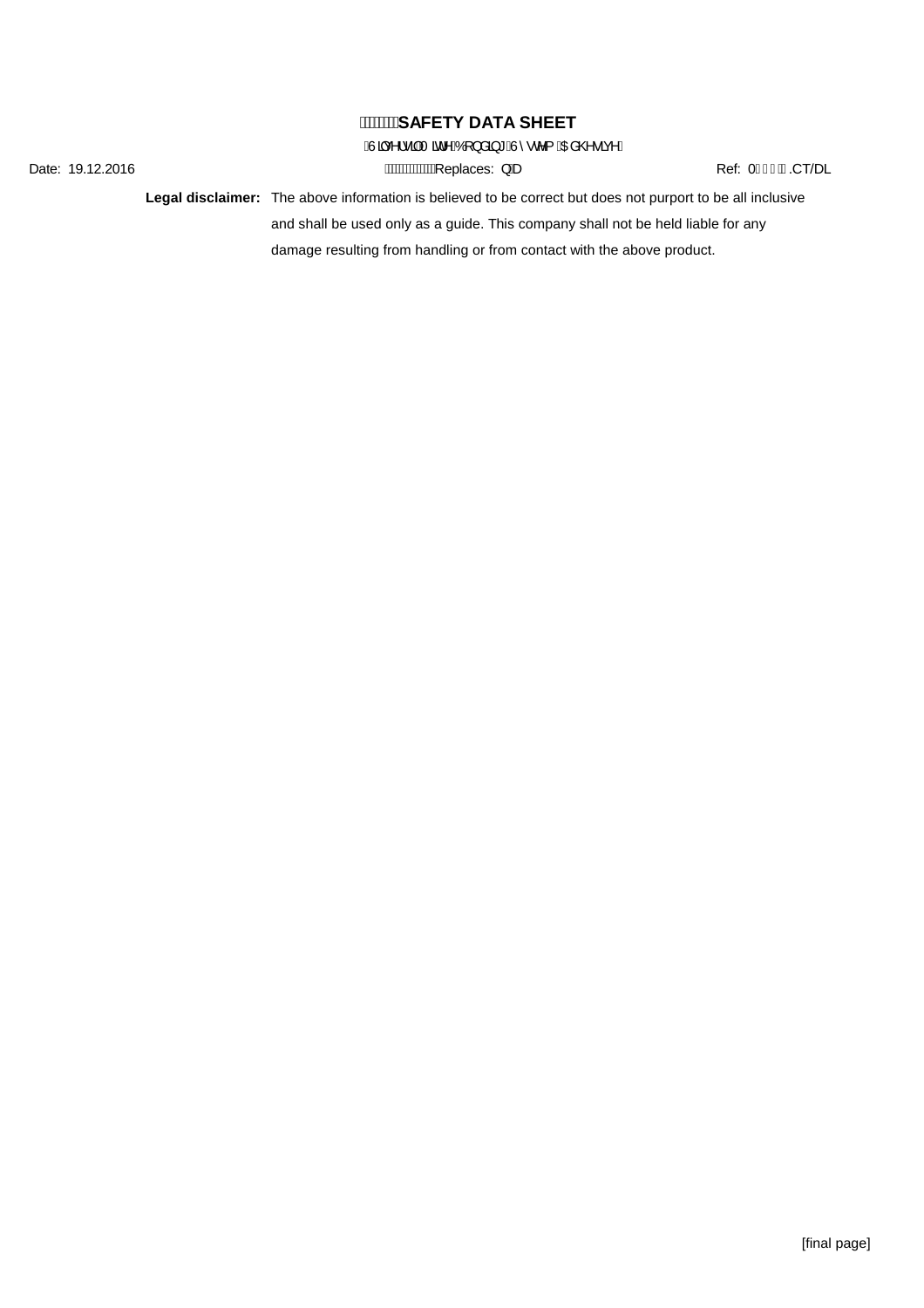$\hat{A}$ Jach' a a  $\hat{A}$ Tain $\hat{A}$ Ó[ } a a  $\hat{A}$   $\hat{A}$   $\hat{B}$   $\hat{C}$   $\hat{C}$   $\hat{C}$   $\hat{A}$   $\hat{C}$   $\hat{C}$   $\hat{C}$   $\hat{C}$   $\hat{C}$   $\hat{C}$   $\hat{C}$   $\hat{C}$   $\hat{C}$   $\hat{C}$   $\hat{C}$   $\hat{C}$   $\hat{C}$   $\hat{C}$   $\hat{C}$   $\$ 

Date: 19.12.2016 **AWWWWWEYERIGES: }** Be Ref: 0.H € Ref: 0.H € ECT/DL

**Legal disclaimer:** The above information is believed to be correct but does not purport to be all inclusive and shall be used only as a guide. This company shall not be held liable for any damage resulting from handling or from contact with the above product.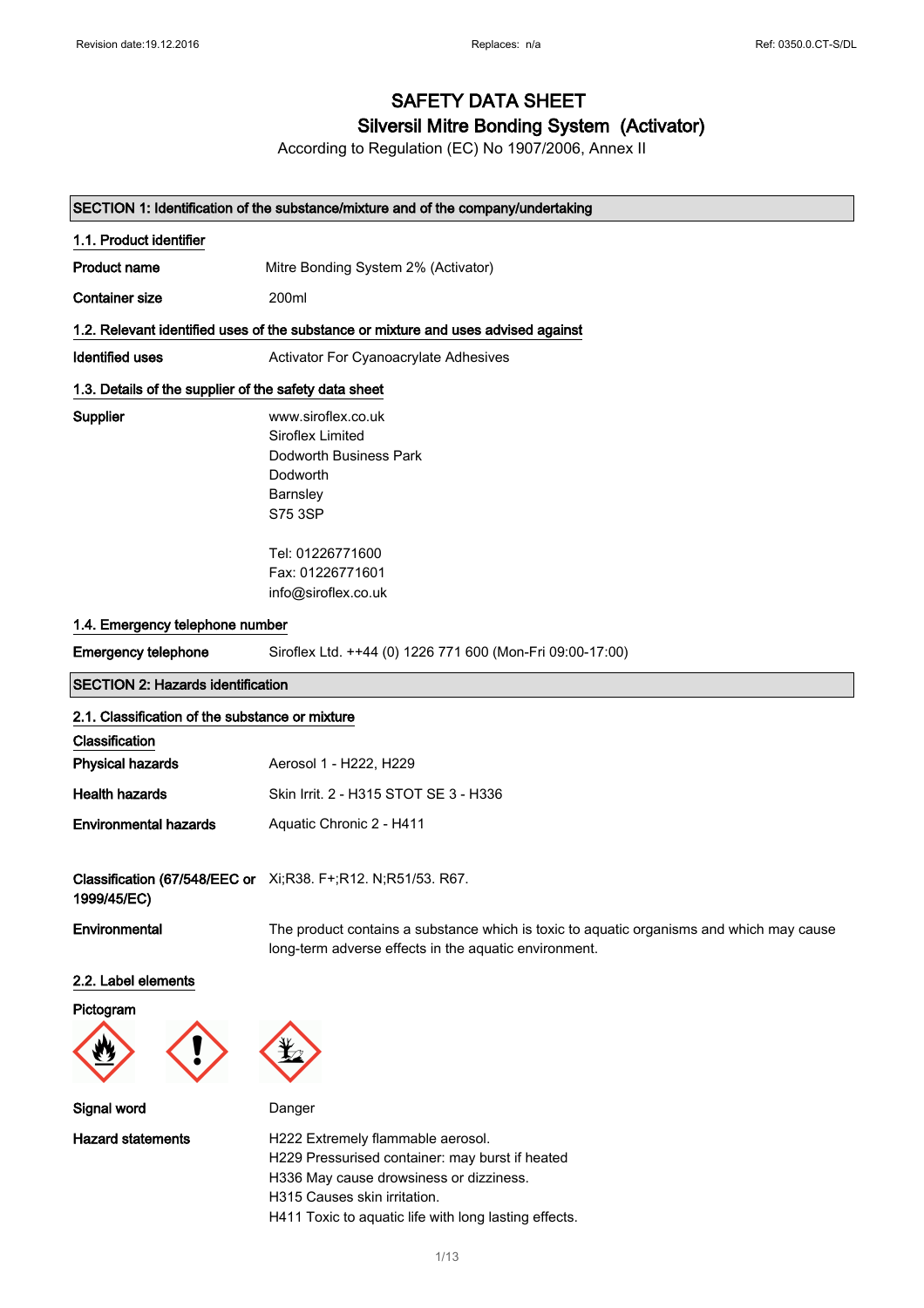# Silversil Mitre Bonding System (Activator)

According to Regulation (EC) No 1907/2006, Annex II

### SECTION 1: Identification of the substance/mixture and of the company/undertaking

| 1.1. Product identifier                               |                                                                                                                                                   |
|-------------------------------------------------------|---------------------------------------------------------------------------------------------------------------------------------------------------|
| <b>Product name</b>                                   | Mitre Bonding System 2% (Activator)                                                                                                               |
| <b>Container size</b>                                 | 200ml                                                                                                                                             |
|                                                       | 1.2. Relevant identified uses of the substance or mixture and uses advised against                                                                |
| Identified uses                                       | Activator For Cyanoacrylate Adhesives                                                                                                             |
| 1.3. Details of the supplier of the safety data sheet |                                                                                                                                                   |
| Supplier                                              | www.siroflex.co.uk<br>Siroflex Limited<br>Dodworth Business Park<br>Dodworth<br>Barnsley<br>S75 3SP                                               |
| 1.4. Emergency telephone number                       | Tel: 01226771600<br>Fax: 01226771601<br>info@siroflex.co.uk                                                                                       |
| <b>Emergency telephone</b>                            | Siroflex Ltd. ++44 (0) 1226 771 600 (Mon-Fri 09:00-17:00)                                                                                         |
| <b>SECTION 2: Hazards identification</b>              |                                                                                                                                                   |
| 2.1. Classification of the substance or mixture       |                                                                                                                                                   |
| Classification                                        |                                                                                                                                                   |
| <b>Physical hazards</b>                               | Aerosol 1 - H222, H229                                                                                                                            |
| <b>Health hazards</b>                                 | Skin Irrit. 2 - H315 STOT SE 3 - H336                                                                                                             |
| <b>Environmental hazards</b>                          | Aquatic Chronic 2 - H411                                                                                                                          |
| 1999/45/EC)                                           | Classification (67/548/EEC or Xi;R38. F+;R12. N;R51/53. R67.                                                                                      |
| Environmental                                         | The product contains a substance which is toxic to aquatic organisms and which may cause<br>long-term adverse effects in the aquatic environment. |
| 2.2. Label elements                                   |                                                                                                                                                   |

#### Pictogram



Signal word Danger



Hazard statements **H222 Extremely flammable aerosol.** H229 Pressurised container: may burst if heated H336 May cause drowsiness or dizziness. H315 Causes skin irritation. H411 Toxic to aquatic life with long lasting effects.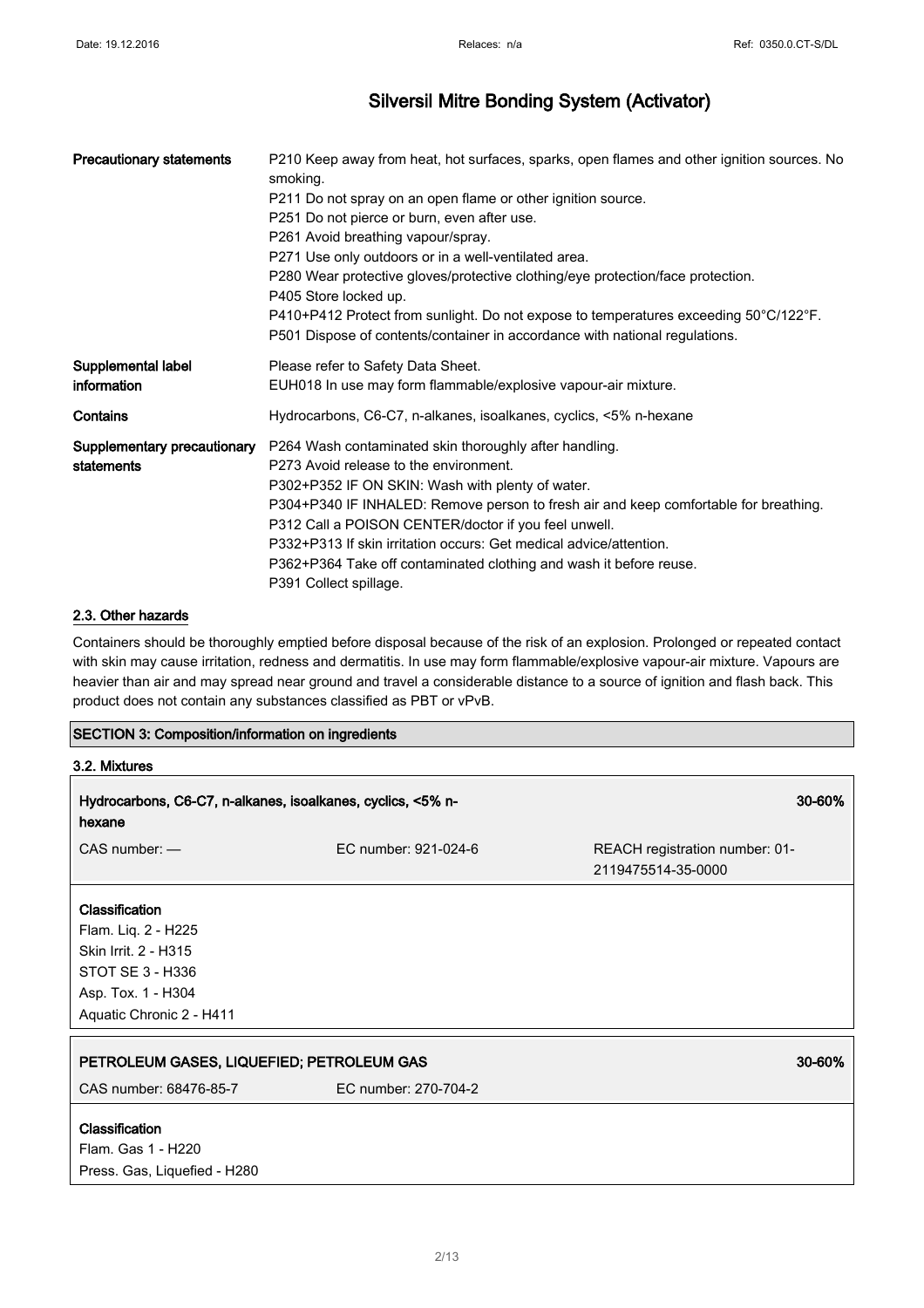| <b>Precautionary statements</b> | P210 Keep away from heat, hot surfaces, sparks, open flames and other ignition sources. No<br>smoking.   |
|---------------------------------|----------------------------------------------------------------------------------------------------------|
|                                 | P211 Do not spray on an open flame or other ignition source.                                             |
|                                 | P251 Do not pierce or burn, even after use.                                                              |
|                                 | P261 Avoid breathing vapour/spray.                                                                       |
|                                 | P271 Use only outdoors or in a well-ventilated area.                                                     |
|                                 | P280 Wear protective gloves/protective clothing/eye protection/face protection.<br>P405 Store locked up. |
|                                 | P410+P412 Protect from sunlight. Do not expose to temperatures exceeding 50°C/122°F.                     |
|                                 | P501 Dispose of contents/container in accordance with national regulations.                              |
| Supplemental label              | Please refer to Safety Data Sheet.                                                                       |
| information                     | EUH018 In use may form flammable/explosive vapour-air mixture.                                           |
| Contains                        | Hydrocarbons, C6-C7, n-alkanes, isoalkanes, cyclics, <5% n-hexane                                        |
| Supplementary precautionary     | P264 Wash contaminated skin thoroughly after handling.                                                   |
| statements                      | P273 Avoid release to the environment.                                                                   |
|                                 | P302+P352 IF ON SKIN: Wash with plenty of water.                                                         |
|                                 | P304+P340 IF INHALED: Remove person to fresh air and keep comfortable for breathing.                     |
|                                 | P312 Call a POISON CENTER/doctor if you feel unwell.                                                     |
|                                 | P332+P313 If skin irritation occurs: Get medical advice/attention.                                       |
|                                 | P362+P364 Take off contaminated clothing and wash it before reuse.                                       |
|                                 | P391 Collect spillage.                                                                                   |

#### 2.3. Other hazards

Press. Gas, Liquefied - H280

Containers should be thoroughly emptied before disposal because of the risk of an explosion. Prolonged or repeated contact with skin may cause irritation, redness and dermatitis. In use may form flammable/explosive vapour-air mixture. Vapours are heavier than air and may spread near ground and travel a considerable distance to a source of ignition and flash back. This product does not contain any substances classified as PBT or vPvB.

## SECTION 3: Composition/information on ingredients

| 3.2. Mixtures                                                                                                                              |                      |                                                      |
|--------------------------------------------------------------------------------------------------------------------------------------------|----------------------|------------------------------------------------------|
| Hydrocarbons, C6-C7, n-alkanes, isoalkanes, cyclics, <5% n-<br>hexane                                                                      |                      | 30-60%                                               |
| $CAS$ number: $-$                                                                                                                          | EC number: 921-024-6 | REACH registration number: 01-<br>2119475514-35-0000 |
| <b>Classification</b><br>Flam. Liq. 2 - H225<br>Skin Irrit. 2 - H315<br>STOT SE 3 - H336<br>Asp. Tox. 1 - H304<br>Aquatic Chronic 2 - H411 |                      |                                                      |
| PETROLEUM GASES, LIQUEFIED; PETROLEUM GAS<br>CAS number: 68476-85-7                                                                        | EC number: 270-704-2 | 30-60%                                               |
| <b>Classification</b><br>Flam. Gas 1 - H220                                                                                                |                      |                                                      |

2/ 13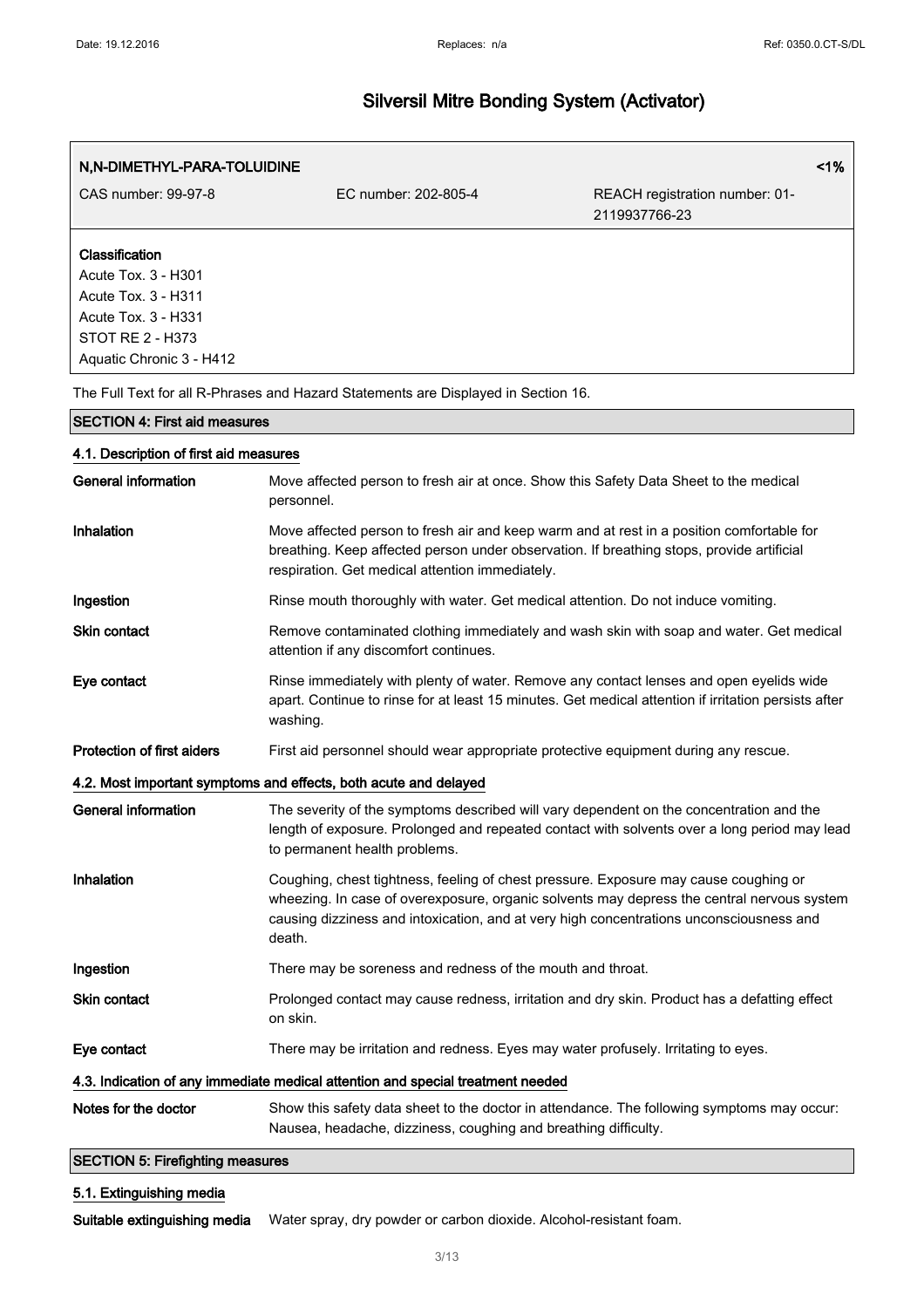| N,N-DIMETHYL-PARA-TOLUIDINE |                      |                                                 | 1% |
|-----------------------------|----------------------|-------------------------------------------------|----|
| CAS number: 99-97-8         | EC number: 202-805-4 | REACH registration number: 01-<br>2119937766-23 |    |
| Classification              |                      |                                                 |    |
| Acute Tox. 3 - H301         |                      |                                                 |    |
| Acute Tox. 3 - H311         |                      |                                                 |    |
| Acute Tox. 3 - H331         |                      |                                                 |    |
| STOT RE 2 - H373            |                      |                                                 |    |
| Aquatic Chronic 3 - H412    |                      |                                                 |    |

The Full Text for all R-Phrases and Hazard Statements are Displayed in Section 16.

# SECTION 4: First aid measures 4.1. Description of first aid measures General information Move affected person to fresh air at once. Show this Safety Data Sheet to the medical personnel. Inhalation Move affected person to fresh air and keep warm and at rest in a position comfortable for breathing. Keep affected person under observation. If breathing stops, provide artificial respiration. Get medical attention immediately. Ingestion **Rinse mouth thoroughly with water. Get medical attention.** Do not induce vomiting. Skin contact **Remove contaminated clothing immediately and wash skin with soap and water. Get medical** attention if any discomfort continues. Eye contact **Rinse immediately with plenty of water. Remove any contact lenses and open eyelids wide** apart. Continue to rinse for at least 15 minutes. Get medical attention if irritation persists after washing. Protection of first aiders First aid personnel should wear appropriate protective equipment during any rescue. 4.2. Most important symptoms and effects, both acute and delayed General information The severity of the symptoms described will vary dependent on the concentration and the length of exposure. Prolonged and repeated contact with solvents over a long period may lead to permanent health problems. Inhalation Coughing, chest tightness, feeling of chest pressure. Exposure may cause coughing or wheezing. In case of overexposure, organic solvents may depress the central nervous system causing dizziness and intoxication, and at very high concentrations unconsciousness and death. Ingestion There may be soreness and redness of the mouth and throat. Skin contact **Exercise Prolonged contact may cause redness**, irritation and dry skin. Product has a defatting effect on skin. Eye contact There may be irritation and redness. Eyes may water profusely. Irritating to eyes. 4.3. Indication of any immediate medical attention and special treatment needed Notes for the doctor Show this safety data sheet to the doctor in attendance. The following symptoms may occur: Nausea, headache, dizziness, coughing and breathing difficulty. SECTION 5: Firefighting measures

#### 5.1. Extinguishing media

Suitable extinguishing media Water spray, dry powder or carbon dioxide. Alcohol-resistant foam.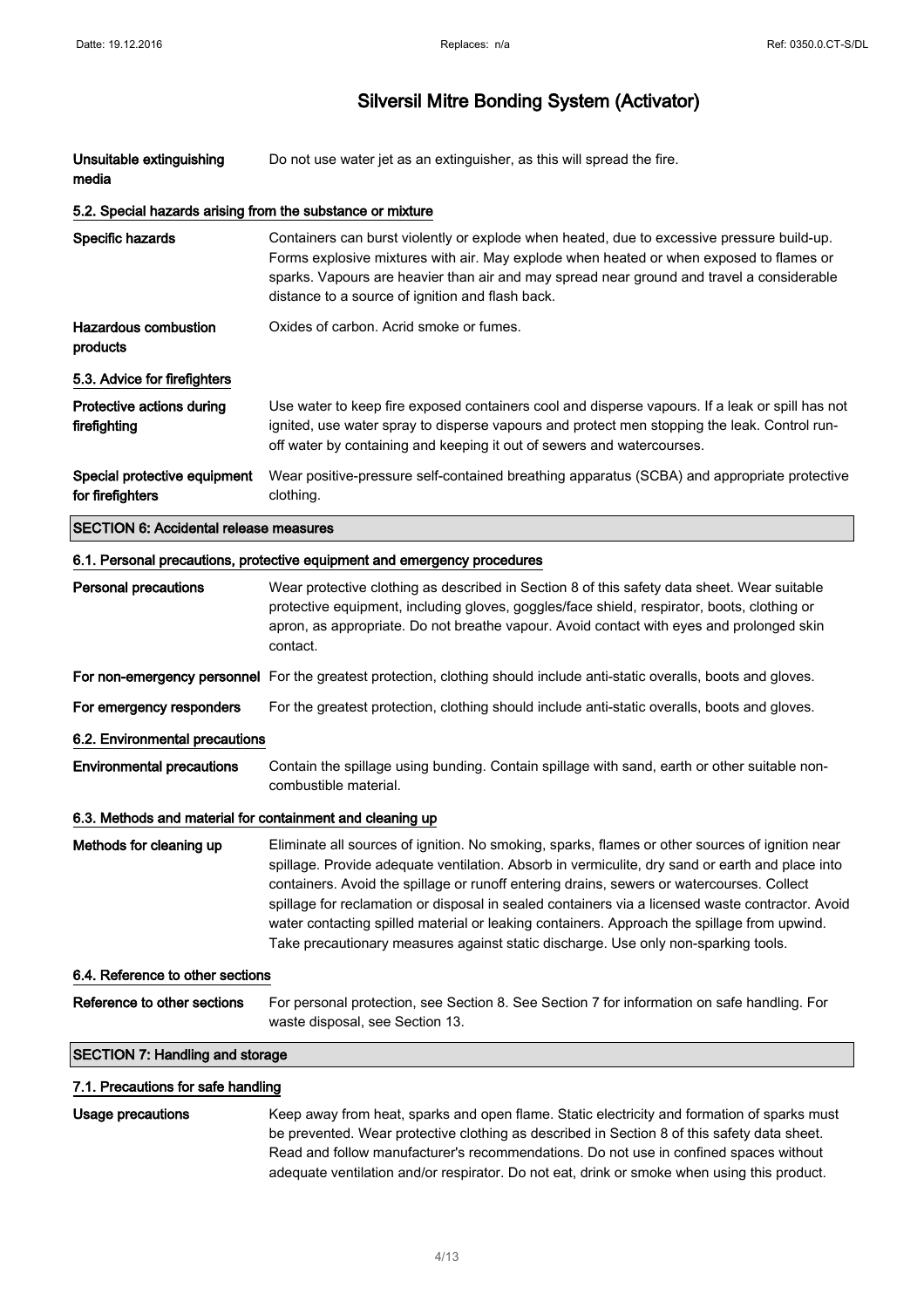| Unsuitable extinguishing<br>media                          | Do not use water jet as an extinguisher, as this will spread the fire.                                                                                                                                                                                                                                                                                                                                                                                                                                                                                                                   |
|------------------------------------------------------------|------------------------------------------------------------------------------------------------------------------------------------------------------------------------------------------------------------------------------------------------------------------------------------------------------------------------------------------------------------------------------------------------------------------------------------------------------------------------------------------------------------------------------------------------------------------------------------------|
| 5.2. Special hazards arising from the substance or mixture |                                                                                                                                                                                                                                                                                                                                                                                                                                                                                                                                                                                          |
| Specific hazards                                           | Containers can burst violently or explode when heated, due to excessive pressure build-up.<br>Forms explosive mixtures with air. May explode when heated or when exposed to flames or<br>sparks. Vapours are heavier than air and may spread near ground and travel a considerable<br>distance to a source of ignition and flash back.                                                                                                                                                                                                                                                   |
| <b>Hazardous combustion</b><br>products                    | Oxides of carbon. Acrid smoke or fumes.                                                                                                                                                                                                                                                                                                                                                                                                                                                                                                                                                  |
| 5.3. Advice for firefighters                               |                                                                                                                                                                                                                                                                                                                                                                                                                                                                                                                                                                                          |
| Protective actions during<br>firefighting                  | Use water to keep fire exposed containers cool and disperse vapours. If a leak or spill has not<br>ignited, use water spray to disperse vapours and protect men stopping the leak. Control run-<br>off water by containing and keeping it out of sewers and watercourses.                                                                                                                                                                                                                                                                                                                |
| Special protective equipment<br>for firefighters           | Wear positive-pressure self-contained breathing apparatus (SCBA) and appropriate protective<br>clothing.                                                                                                                                                                                                                                                                                                                                                                                                                                                                                 |
| <b>SECTION 6: Accidental release measures</b>              |                                                                                                                                                                                                                                                                                                                                                                                                                                                                                                                                                                                          |
|                                                            | 6.1. Personal precautions, protective equipment and emergency procedures                                                                                                                                                                                                                                                                                                                                                                                                                                                                                                                 |
| <b>Personal precautions</b>                                | Wear protective clothing as described in Section 8 of this safety data sheet. Wear suitable<br>protective equipment, including gloves, goggles/face shield, respirator, boots, clothing or<br>apron, as appropriate. Do not breathe vapour. Avoid contact with eyes and prolonged skin<br>contact.                                                                                                                                                                                                                                                                                       |
|                                                            | For non-emergency personnel For the greatest protection, clothing should include anti-static overalls, boots and gloves.                                                                                                                                                                                                                                                                                                                                                                                                                                                                 |
| For emergency responders                                   | For the greatest protection, clothing should include anti-static overalls, boots and gloves.                                                                                                                                                                                                                                                                                                                                                                                                                                                                                             |
| 6.2. Environmental precautions                             |                                                                                                                                                                                                                                                                                                                                                                                                                                                                                                                                                                                          |
| <b>Environmental precautions</b>                           | Contain the spillage using bunding. Contain spillage with sand, earth or other suitable non-<br>combustible material.                                                                                                                                                                                                                                                                                                                                                                                                                                                                    |
| 6.3. Methods and material for containment and cleaning up  |                                                                                                                                                                                                                                                                                                                                                                                                                                                                                                                                                                                          |
| Methods for cleaning up                                    | Eliminate all sources of ignition. No smoking, sparks, flames or other sources of ignition near<br>spillage. Provide adequate ventilation. Absorb in vermiculite, dry sand or earth and place into<br>containers. Avoid the spillage or runoff entering drains, sewers or watercourses. Collect<br>spillage for reclamation or disposal in sealed containers via a licensed waste contractor. Avoid<br>water contacting spilled material or leaking containers. Approach the spillage from upwind.<br>Take precautionary measures against static discharge. Use only non-sparking tools. |
| 6.4. Reference to other sections                           |                                                                                                                                                                                                                                                                                                                                                                                                                                                                                                                                                                                          |
| Reference to other sections                                | For personal protection, see Section 8. See Section 7 for information on safe handling. For<br>waste disposal, see Section 13.                                                                                                                                                                                                                                                                                                                                                                                                                                                           |
| <b>SECTION 7: Handling and storage</b>                     |                                                                                                                                                                                                                                                                                                                                                                                                                                                                                                                                                                                          |
| 7.1. Precautions for safe handling                         |                                                                                                                                                                                                                                                                                                                                                                                                                                                                                                                                                                                          |
| Usage precautions                                          | Keep away from heat, sparks and open flame. Static electricity and formation of sparks must<br>be prevented. Wear protective clothing as described in Section 8 of this safety data sheet.<br>Read and follow manufacturer's recommendations. Do not use in confined spaces without                                                                                                                                                                                                                                                                                                      |

adequate ventilation and/or respirator. Do not eat, drink or smoke when using this product.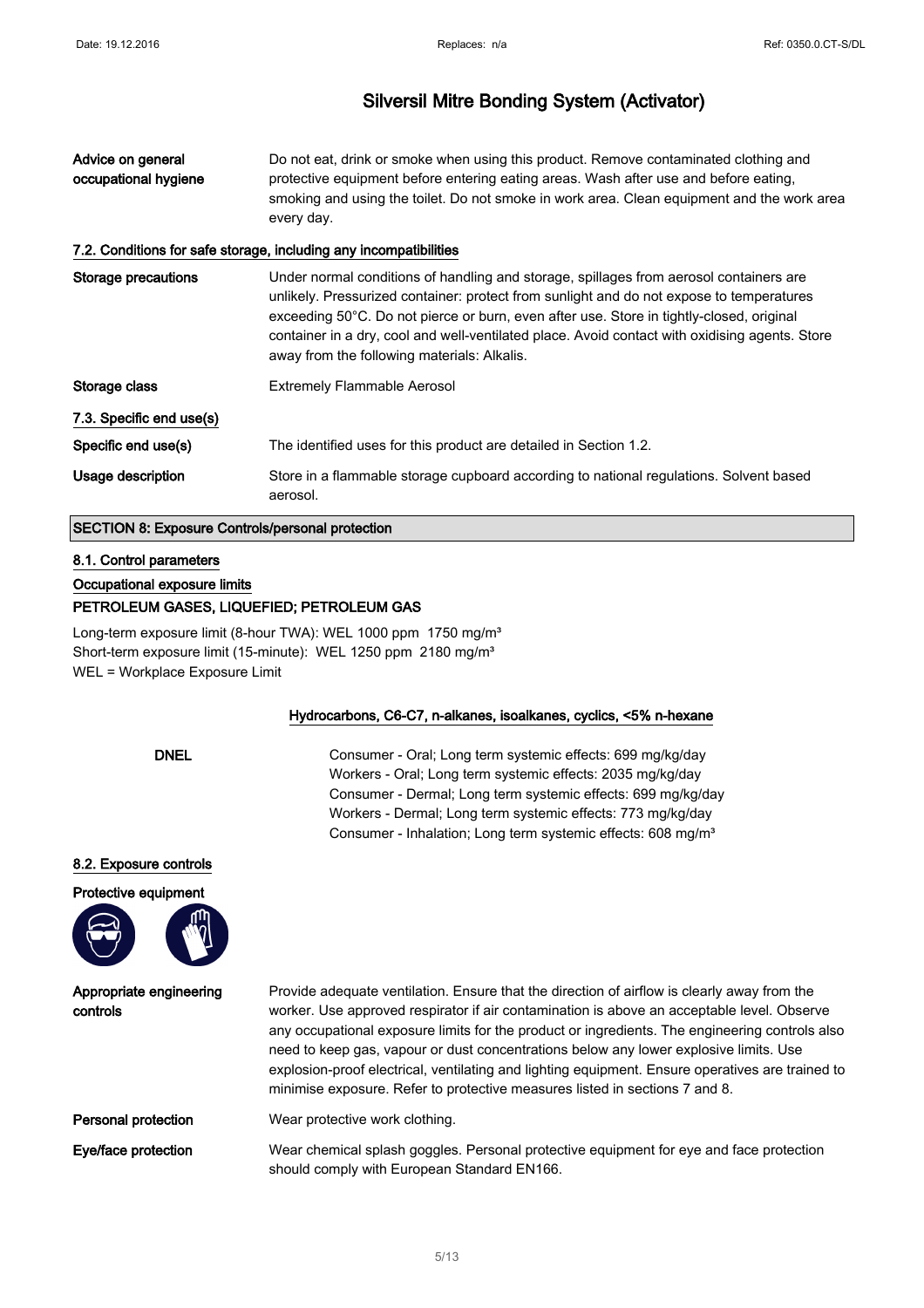| Advice on general<br>occupational hygiene | Do not eat, drink or smoke when using this product. Remove contaminated clothing and<br>protective equipment before entering eating areas. Wash after use and before eating,<br>smoking and using the toilet. Do not smoke in work area. Clean equipment and the work area<br>every day.                                                                                                                                        |  |
|-------------------------------------------|---------------------------------------------------------------------------------------------------------------------------------------------------------------------------------------------------------------------------------------------------------------------------------------------------------------------------------------------------------------------------------------------------------------------------------|--|
|                                           | 7.2. Conditions for safe storage, including any incompatibilities                                                                                                                                                                                                                                                                                                                                                               |  |
| Storage precautions                       | Under normal conditions of handling and storage, spillages from aerosol containers are<br>unlikely. Pressurized container: protect from sunlight and do not expose to temperatures<br>exceeding 50°C. Do not pierce or burn, even after use. Store in tightly-closed, original<br>container in a dry, cool and well-ventilated place. Avoid contact with oxidising agents. Store<br>away from the following materials: Alkalis. |  |
| Storage class                             | <b>Extremely Flammable Aerosol</b>                                                                                                                                                                                                                                                                                                                                                                                              |  |
| 7.3. Specific end use(s)                  |                                                                                                                                                                                                                                                                                                                                                                                                                                 |  |
| Specific end use(s)                       | The identified uses for this product are detailed in Section 1.2.                                                                                                                                                                                                                                                                                                                                                               |  |
| Usage description                         | Store in a flammable storage cupboard according to national regulations. Solvent based<br>aerosol.                                                                                                                                                                                                                                                                                                                              |  |

#### SECTION 8: Exposure Controls/personal protection

#### 8.1. Control parameters

Occupational exposure limits

#### PETROLEUM GASES, LIQUEFIED; PETROLEUM GAS

Long-term exposure limit (8-hour TWA): WEL 1000 ppm 1750 mg/m<sup>3</sup> Short-term exposure limit (15-minute): WEL 1250 ppm 2180 mg/m<sup>3</sup> WEL = Workplace Exposure Limit

#### Hydrocarbons, C6-C7, n-alkanes, isoalkanes, cyclics, <5% n-hexane

DNEL Consumer - Oral; Long term systemic effects: 699 mg/kg/day Workers - Oral; Long term systemic effects: 2035 mg/kg/day Consumer - Dermal; Long term systemic effects: 699 mg/kg/day Workers - Dermal; Long term systemic effects: 773 mg/kg/day Consumer - Inhalation; Long term systemic effects: 608 mg/m<sup>3</sup>

#### 8.2. Exposure controls

Protective equipment



Appropriate engineering

controls

Provide adequate ventilation. Ensure that the direction of airflow is clearly away from the worker. Use approved respirator if air contamination is above an acceptable level. Observe any occupational exposure limits for the product or ingredients. The engineering controls also need to keep gas, vapour or dust concentrations below any lower explosive limits. Use explosion-proof electrical, ventilating and lighting equipment. Ensure operatives are trained to minimise exposure. Refer to protective measures listed in sections 7 and 8.

**Personal protection** Wear protective work clothing.

Eye/face protection Wear chemical splash goggles. Personal protective equipment for eye and face protection should comply with European Standard EN166.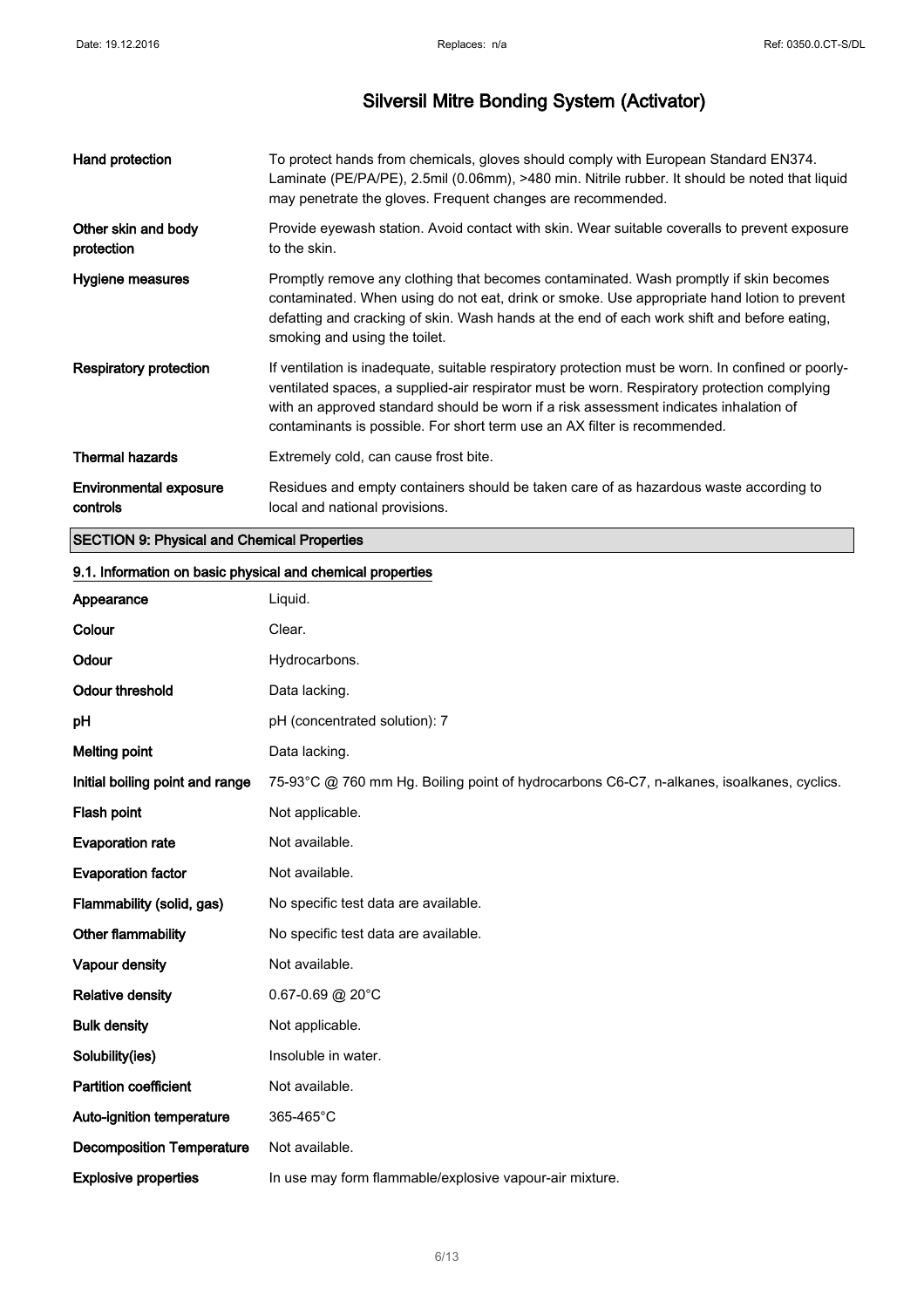| Hand protection                    | To protect hands from chemicals, gloves should comply with European Standard EN374.<br>Laminate (PE/PA/PE), 2.5mil (0.06mm), >480 min. Nitrile rubber. It should be noted that liquid<br>may penetrate the gloves. Frequent changes are recommended.                                                                                                                    |
|------------------------------------|-------------------------------------------------------------------------------------------------------------------------------------------------------------------------------------------------------------------------------------------------------------------------------------------------------------------------------------------------------------------------|
| Other skin and body<br>protection  | Provide eyewash station. Avoid contact with skin. Wear suitable coveralls to prevent exposure<br>to the skin.                                                                                                                                                                                                                                                           |
| Hygiene measures                   | Promptly remove any clothing that becomes contaminated. Wash promptly if skin becomes<br>contaminated. When using do not eat, drink or smoke. Use appropriate hand lotion to prevent<br>defatting and cracking of skin. Wash hands at the end of each work shift and before eating,<br>smoking and using the toilet.                                                    |
| Respiratory protection             | If ventilation is inadequate, suitable respiratory protection must be worn. In confined or poorly-<br>ventilated spaces, a supplied-air respirator must be worn. Respiratory protection complying<br>with an approved standard should be worn if a risk assessment indicates inhalation of<br>contaminants is possible. For short term use an AX filter is recommended. |
| <b>Thermal hazards</b>             | Extremely cold, can cause frost bite.                                                                                                                                                                                                                                                                                                                                   |
| Environmental exposure<br>controls | Residues and empty containers should be taken care of as hazardous waste according to<br>local and national provisions.                                                                                                                                                                                                                                                 |

## SECTION 9: Physical and Chemical Properties

# 9.1. Information on basic physical and chemical properties Appearance Liquid. Colour Clear. Odour Hydrocarbons. Odour threshold Data lacking. pH (concentrated solution): 7 Melting point Data lacking. Initial boiling point and range 75-93°C @ 760 mm Hg. Boiling point of hydrocarbons C6-C7, n-alkanes, isoalkanes, cyclics. Flash point Not applicable. Evaporation rate Mot available. Evaporation factor Not available. Flammability (solid, gas) No specific test data are available. Other flammability Mo specific test data are available. Vapour density **Not** available. Relative density 0.67-0.69 @ 20°C Bulk density **Not applicable.** Solubility(ies) **Insoluble in water.** Partition coefficient Not available. Auto-ignition temperature 365-465°C Decomposition Temperature Not available. Explosive properties In use may form flammable/explosive vapour-air mixture.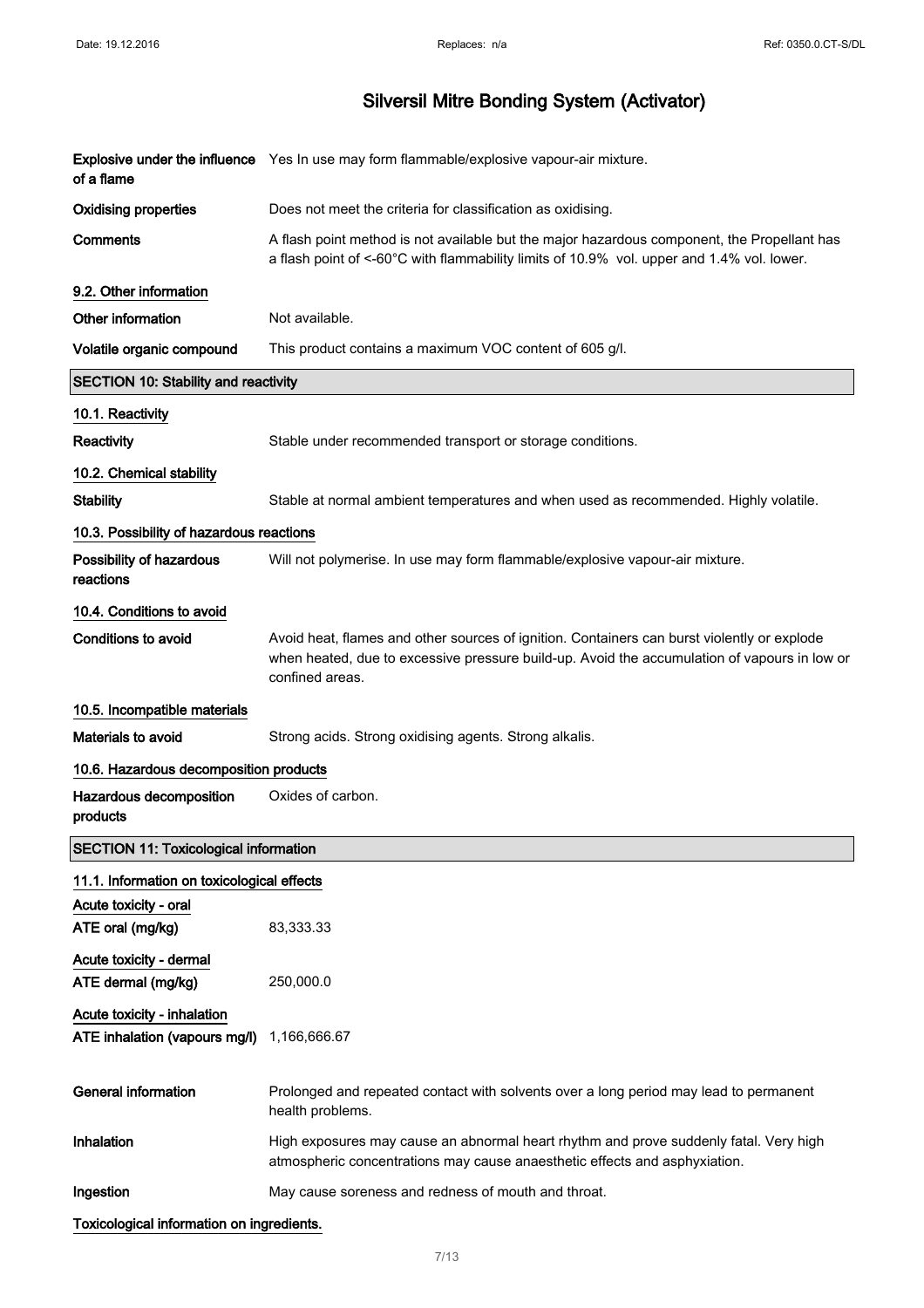# Silversil Mitre Bonding System (Activator)

| of a flame                                                   | Explosive under the influence Yes In use may form flammable/explosive vapour-air mixture.                                                                                                                      |
|--------------------------------------------------------------|----------------------------------------------------------------------------------------------------------------------------------------------------------------------------------------------------------------|
| <b>Oxidising properties</b>                                  | Does not meet the criteria for classification as oxidising.                                                                                                                                                    |
| <b>Comments</b>                                              | A flash point method is not available but the major hazardous component, the Propellant has<br>a flash point of <-60°C with flammability limits of 10.9% vol. upper and 1.4% vol. lower.                       |
| 9.2. Other information                                       |                                                                                                                                                                                                                |
| Other information                                            | Not available.                                                                                                                                                                                                 |
| Volatile organic compound                                    | This product contains a maximum VOC content of 605 g/l.                                                                                                                                                        |
| <b>SECTION 10: Stability and reactivity</b>                  |                                                                                                                                                                                                                |
| 10.1. Reactivity                                             |                                                                                                                                                                                                                |
| Reactivity                                                   | Stable under recommended transport or storage conditions.                                                                                                                                                      |
| 10.2. Chemical stability                                     |                                                                                                                                                                                                                |
| <b>Stability</b>                                             | Stable at normal ambient temperatures and when used as recommended. Highly volatile.                                                                                                                           |
| 10.3. Possibility of hazardous reactions                     |                                                                                                                                                                                                                |
| Possibility of hazardous<br>reactions                        | Will not polymerise. In use may form flammable/explosive vapour-air mixture.                                                                                                                                   |
| 10.4. Conditions to avoid                                    |                                                                                                                                                                                                                |
| <b>Conditions to avoid</b>                                   | Avoid heat, flames and other sources of ignition. Containers can burst violently or explode<br>when heated, due to excessive pressure build-up. Avoid the accumulation of vapours in low or<br>confined areas. |
| 10.5. Incompatible materials                                 |                                                                                                                                                                                                                |
| Materials to avoid                                           | Strong acids. Strong oxidising agents. Strong alkalis.                                                                                                                                                         |
| 10.6. Hazardous decomposition products                       |                                                                                                                                                                                                                |
| Hazardous decomposition<br>products                          | Oxides of carbon.                                                                                                                                                                                              |
| <b>SECTION 11: Toxicological information</b>                 |                                                                                                                                                                                                                |
| 11.1. Information on toxicological effects                   |                                                                                                                                                                                                                |
| Acute toxicity - oral                                        |                                                                                                                                                                                                                |
| ATE oral (mg/kg)                                             | 83,333.33                                                                                                                                                                                                      |
| Acute toxicity - dermal<br>ATE dermal (mg/kg)                | 250,000.0                                                                                                                                                                                                      |
| Acute toxicity - inhalation<br>ATE inhalation (vapours mg/l) | 1,166,666.67                                                                                                                                                                                                   |
| <b>General information</b>                                   | Prolonged and repeated contact with solvents over a long period may lead to permanent<br>health problems.                                                                                                      |
| Inhalation                                                   | High exposures may cause an abnormal heart rhythm and prove suddenly fatal. Very high<br>atmospheric concentrations may cause anaesthetic effects and asphyxiation.                                            |
| Ingestion                                                    | May cause soreness and redness of mouth and throat.                                                                                                                                                            |
|                                                              |                                                                                                                                                                                                                |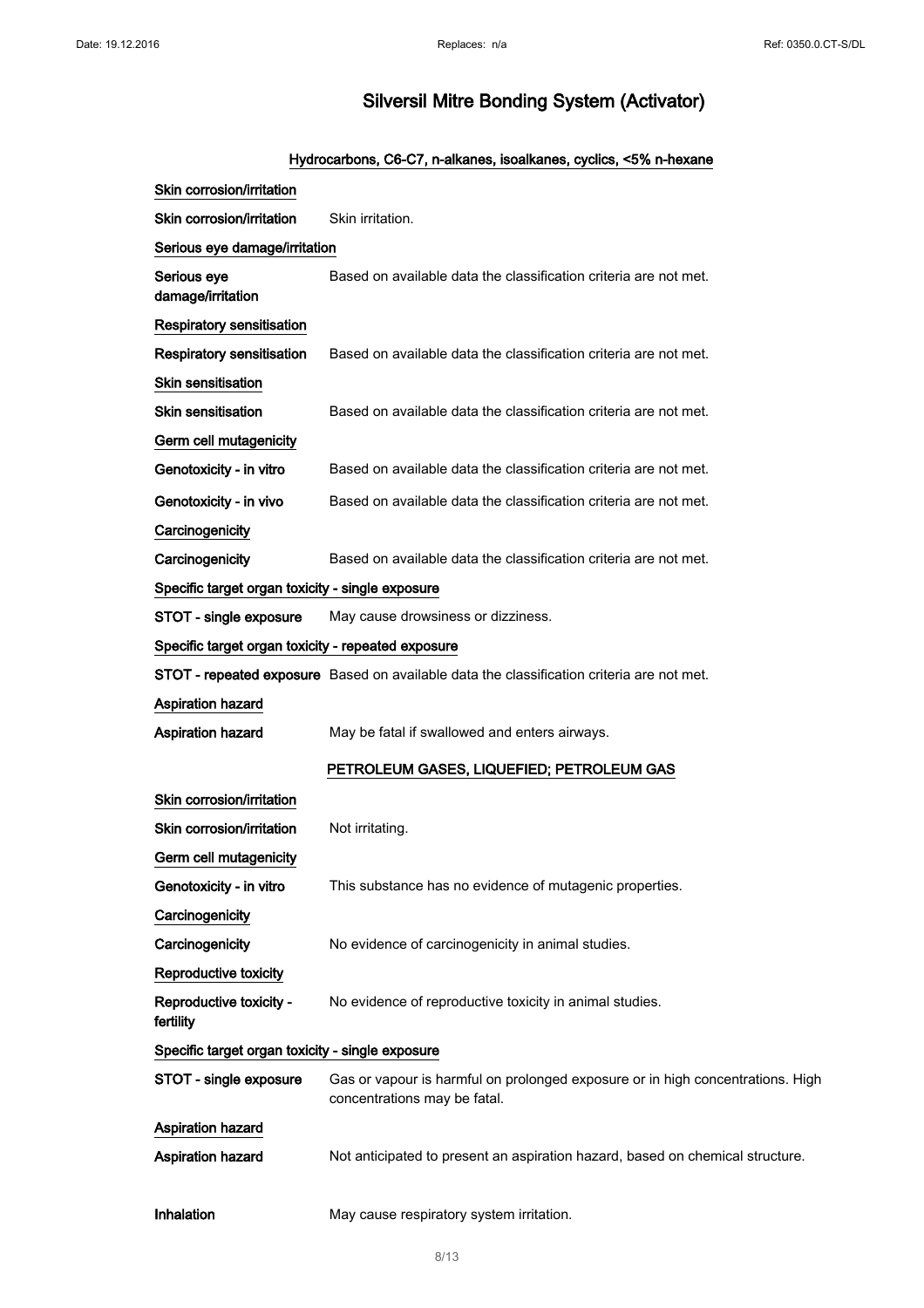## Hydrocarbons, C6-C7, n-alkanes, isoalkanes, cyclics, <5% n-hexane

| Skin corrosion/irritation                          |                                                                                                                |
|----------------------------------------------------|----------------------------------------------------------------------------------------------------------------|
| Skin corrosion/irritation                          | Skin irritation.                                                                                               |
| Serious eye damage/irritation                      |                                                                                                                |
| Serious eye<br>damage/irritation                   | Based on available data the classification criteria are not met.                                               |
| <b>Respiratory sensitisation</b>                   |                                                                                                                |
| <b>Respiratory sensitisation</b>                   | Based on available data the classification criteria are not met.                                               |
| Skin sensitisation                                 |                                                                                                                |
| <b>Skin sensitisation</b>                          | Based on available data the classification criteria are not met.                                               |
| Germ cell mutagenicity                             |                                                                                                                |
| Genotoxicity - in vitro                            | Based on available data the classification criteria are not met.                                               |
| Genotoxicity - in vivo                             | Based on available data the classification criteria are not met.                                               |
| Carcinogenicity                                    |                                                                                                                |
| Carcinogenicity                                    | Based on available data the classification criteria are not met.                                               |
| Specific target organ toxicity - single exposure   |                                                                                                                |
| STOT - single exposure                             | May cause drowsiness or dizziness.                                                                             |
| Specific target organ toxicity - repeated exposure |                                                                                                                |
|                                                    | STOT - repeated exposure Based on available data the classification criteria are not met.                      |
| Aspiration hazard                                  |                                                                                                                |
|                                                    |                                                                                                                |
| Aspiration hazard                                  | May be fatal if swallowed and enters airways.                                                                  |
|                                                    | PETROLEUM GASES, LIQUEFIED; PETROLEUM GAS                                                                      |
| Skin corrosion/irritation                          |                                                                                                                |
| Skin corrosion/irritation                          | Not irritating.                                                                                                |
| Germ cell mutagenicity                             |                                                                                                                |
| Genotoxicity - in vitro                            | This substance has no evidence of mutagenic properties.                                                        |
| Carcinogenicity                                    |                                                                                                                |
| Carcinogenicity                                    | No evidence of carcinogenicity in animal studies.                                                              |
| <b>Reproductive toxicity</b>                       |                                                                                                                |
| Reproductive toxicity -<br>fertility               | No evidence of reproductive toxicity in animal studies.                                                        |
| Specific target organ toxicity - single exposure   |                                                                                                                |
| STOT - single exposure                             | Gas or vapour is harmful on prolonged exposure or in high concentrations. High<br>concentrations may be fatal. |
| Aspiration hazard                                  |                                                                                                                |
| Aspiration hazard                                  | Not anticipated to present an aspiration hazard, based on chemical structure.                                  |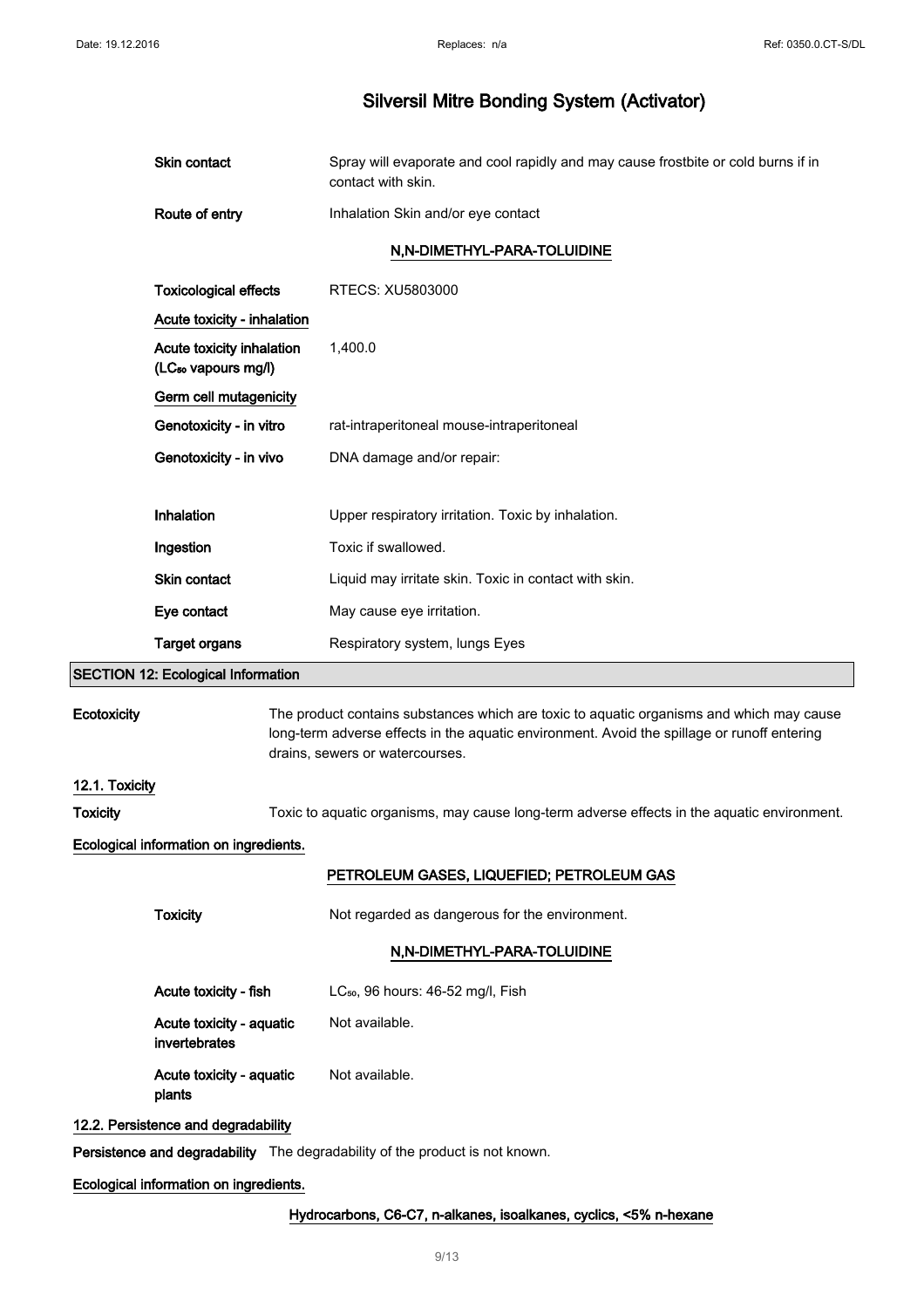| Skin contact   | Spray will evaporate and cool rapidly and may cause frostbite or cold burns if in<br>contact with skin. |
|----------------|---------------------------------------------------------------------------------------------------------|
| Route of entry | Inhalation Skin and/or eye contact                                                                      |
|                | N.N-DIMETHYL-PARA-TOLUIDINE                                                                             |

| <b>Toxicological effects</b>                                 | RTECS: XU5803000                                      |
|--------------------------------------------------------------|-------------------------------------------------------|
| Acute toxicity - inhalation                                  |                                                       |
| Acute toxicity inhalation<br>(LC <sub>so</sub> vapours mg/l) | 1,400.0                                               |
| Germ cell mutagenicity                                       |                                                       |
| Genotoxicity - in vitro                                      | rat-intraperitoneal mouse-intraperitoneal             |
| Genotoxicity - in vivo                                       | DNA damage and/or repair:                             |
|                                                              |                                                       |
| Inhalation                                                   | Upper respiratory irritation. Toxic by inhalation.    |
| Ingestion                                                    | Toxic if swallowed.                                   |
| <b>Skin contact</b>                                          | Liquid may irritate skin. Toxic in contact with skin. |
| Eye contact                                                  | May cause eye irritation.                             |
| Target organs                                                | Respiratory system, lungs Eyes                        |

## SECTION 12: Ecological Information

| Ecotoxicity    |                                           | The product contains substances which are toxic to aquatic organisms and which may cause<br>long-term adverse effects in the aquatic environment. Avoid the spillage or runoff entering<br>drains, sewers or watercourses. |  |
|----------------|-------------------------------------------|----------------------------------------------------------------------------------------------------------------------------------------------------------------------------------------------------------------------------|--|
| 12.1. Toxicity |                                           |                                                                                                                                                                                                                            |  |
| Toxicity       |                                           | Toxic to aquatic organisms, may cause long-term adverse effects in the aquatic environment.                                                                                                                                |  |
|                | Ecological information on ingredients.    |                                                                                                                                                                                                                            |  |
|                |                                           | PETROLEUM GASES, LIQUEFIED; PETROLEUM GAS                                                                                                                                                                                  |  |
|                | <b>Toxicity</b>                           | Not regarded as dangerous for the environment.                                                                                                                                                                             |  |
|                |                                           | N,N-DIMETHYL-PARA-TOLUIDINE                                                                                                                                                                                                |  |
|                | Acute toxicity - fish                     | LC <sub>50</sub> , 96 hours: 46-52 mg/l, Fish                                                                                                                                                                              |  |
|                | Acute toxicity - aquatic<br>invertebrates | Not available.                                                                                                                                                                                                             |  |
|                | Acute toxicity - aquatic<br>plants        | Not available.                                                                                                                                                                                                             |  |
|                | 12.2. Persistence and degradability       |                                                                                                                                                                                                                            |  |
|                |                                           | Persistence and degradability The degradability of the product is not known.                                                                                                                                               |  |

### Ecological information on ingredients.

### Hydrocarbons, C6-C7, n-alkanes, isoalkanes, cyclics, <5% n-hexane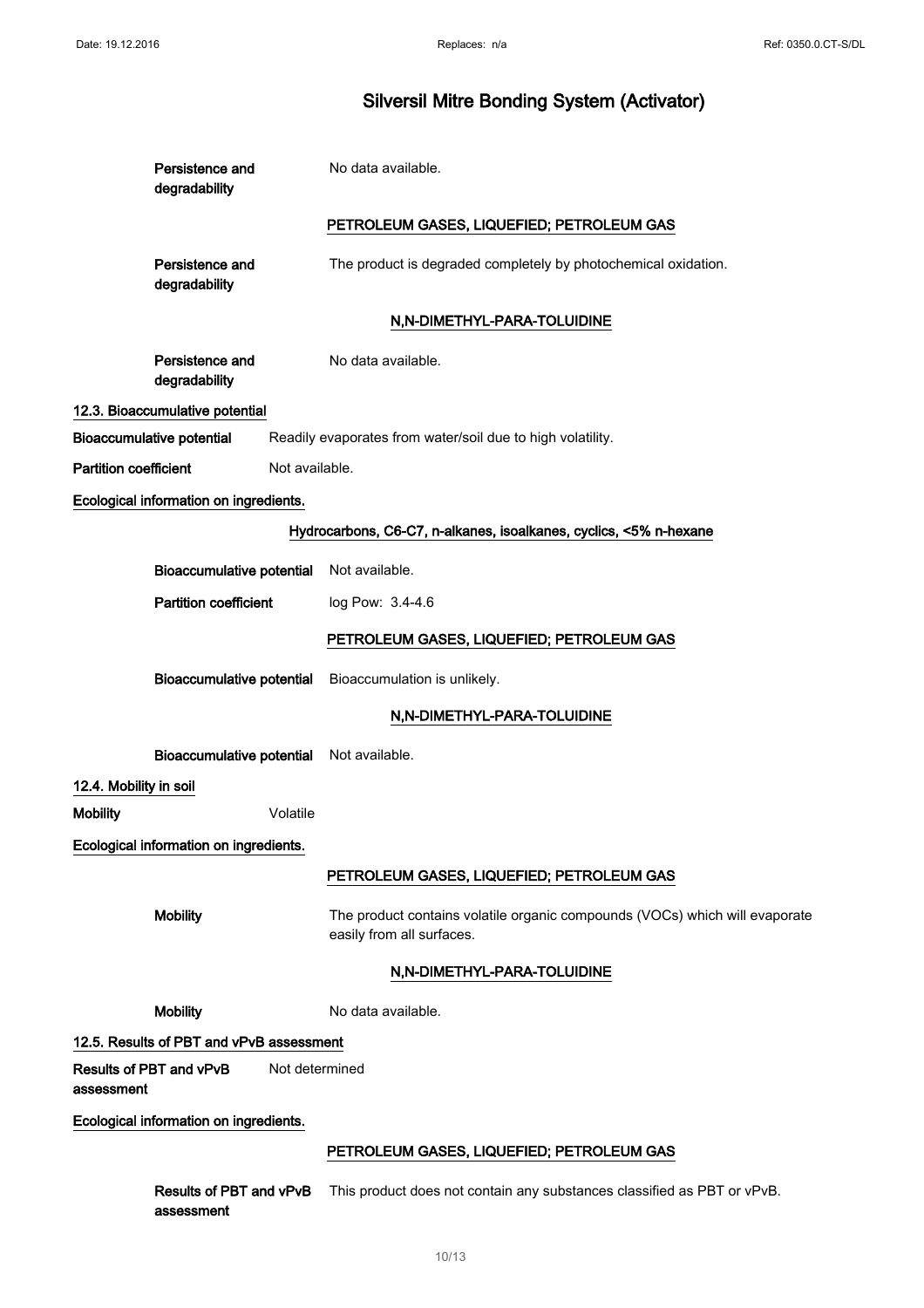| Persistence and<br>degradability         |                | No data available.                                                                                       |
|------------------------------------------|----------------|----------------------------------------------------------------------------------------------------------|
|                                          |                | PETROLEUM GASES, LIQUEFIED; PETROLEUM GAS                                                                |
| Persistence and<br>degradability         |                | The product is degraded completely by photochemical oxidation.                                           |
|                                          |                | N,N-DIMETHYL-PARA-TOLUIDINE                                                                              |
| Persistence and<br>degradability         |                | No data available.                                                                                       |
| 12.3. Bioaccumulative potential          |                |                                                                                                          |
| <b>Bioaccumulative potential</b>         |                | Readily evaporates from water/soil due to high volatility.                                               |
| <b>Partition coefficient</b>             | Not available. |                                                                                                          |
| Ecological information on ingredients.   |                |                                                                                                          |
|                                          |                | Hydrocarbons, C6-C7, n-alkanes, isoalkanes, cyclics, <5% n-hexane                                        |
| <b>Bioaccumulative potential</b>         |                | Not available.                                                                                           |
| <b>Partition coefficient</b>             |                | log Pow: 3.4-4.6                                                                                         |
|                                          |                | PETROLEUM GASES, LIQUEFIED; PETROLEUM GAS                                                                |
| <b>Bioaccumulative potential</b>         |                | Bioaccumulation is unlikely.                                                                             |
|                                          |                | N,N-DIMETHYL-PARA-TOLUIDINE                                                                              |
| Bioaccumulative potential Not available. |                |                                                                                                          |
| 12.4. Mobility in soil                   |                |                                                                                                          |
| <b>Mobility</b>                          | Volatile       |                                                                                                          |
| Ecological information on ingredients.   |                |                                                                                                          |
|                                          |                | PETROLEUM GASES, LIQUEFIED; PETROLEUM GAS                                                                |
| <b>Mobility</b>                          |                | The product contains volatile organic compounds (VOCs) which will evaporate<br>easily from all surfaces. |
|                                          |                | N,N-DIMETHYL-PARA-TOLUIDINE                                                                              |
| <b>Mobility</b>                          |                | No data available.                                                                                       |
| 12.5. Results of PBT and vPvB assessment |                |                                                                                                          |
| Results of PBT and vPvB<br>assessment    | Not determined |                                                                                                          |
| Ecological information on ingredients.   |                |                                                                                                          |
|                                          |                | PETROLEUM GASES, LIQUEFIED; PETROLEUM GAS                                                                |
| Results of PBT and vPvB<br>assessment    |                | This product does not contain any substances classified as PBT or vPvB.                                  |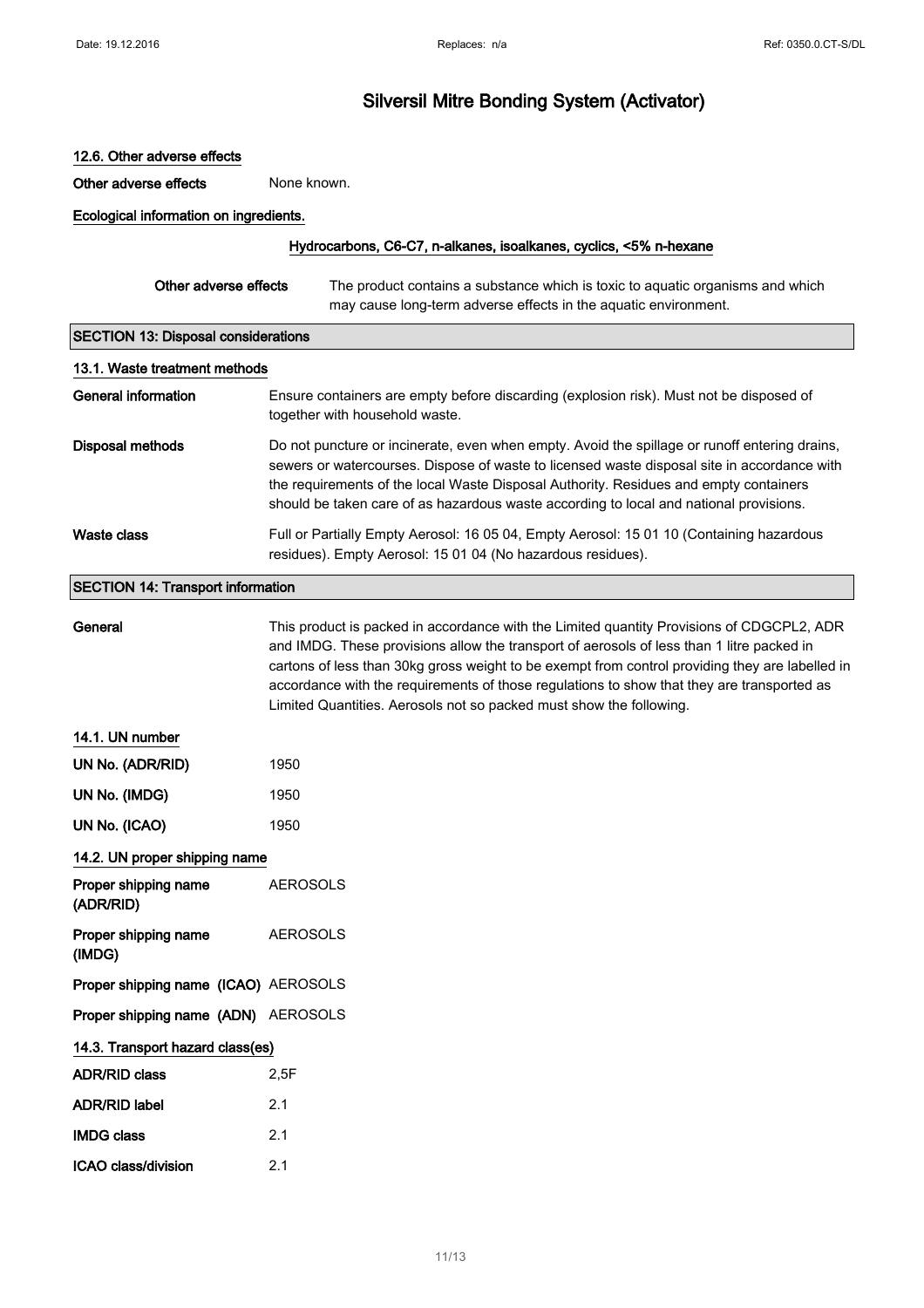### 12.6. Other adverse effects

Other adverse effects None known.

Ecological information on ingredients.

#### Hydrocarbons, C6-C7, n-alkanes, isoalkanes, cyclics, <5% n-hexane

| Other adverse effects | The product contains a substance which is toxic to aguatic organisms and which |
|-----------------------|--------------------------------------------------------------------------------|
|                       | may cause long-term adverse effects in the aquatic environment.                |

### SECTION 13: Disposal considerations

| 13.1. Waste treatment methods |                                                                                                                                                                                                                                                                                                                                                                                 |  |
|-------------------------------|---------------------------------------------------------------------------------------------------------------------------------------------------------------------------------------------------------------------------------------------------------------------------------------------------------------------------------------------------------------------------------|--|
| General information           | Ensure containers are empty before discarding (explosion risk). Must not be disposed of<br>together with household waste.                                                                                                                                                                                                                                                       |  |
| Disposal methods              | Do not puncture or incinerate, even when empty. Avoid the spillage or runoff entering drains,<br>sewers or watercourses. Dispose of waste to licensed waste disposal site in accordance with<br>the requirements of the local Waste Disposal Authority. Residues and empty containers<br>should be taken care of as hazardous waste according to local and national provisions. |  |
| Waste class                   | Full or Partially Empty Aerosol: 16 05 04, Empty Aerosol: 15 01 10 (Containing hazardous<br>residues). Empty Aerosol: 15 01 04 (No hazardous residues).                                                                                                                                                                                                                         |  |

# SECTION 14: Transport information

| General                              | This product is packed in accordance with the Limited quantity Provisions of CDGCPL2, ADR<br>and IMDG. These provisions allow the transport of aerosols of less than 1 litre packed in<br>cartons of less than 30kg gross weight to be exempt from control providing they are labelled in<br>accordance with the requirements of those regulations to show that they are transported as<br>Limited Quantities. Aerosols not so packed must show the following. |
|--------------------------------------|----------------------------------------------------------------------------------------------------------------------------------------------------------------------------------------------------------------------------------------------------------------------------------------------------------------------------------------------------------------------------------------------------------------------------------------------------------------|
| 14.1. UN number                      |                                                                                                                                                                                                                                                                                                                                                                                                                                                                |
| UN No. (ADR/RID)                     | 1950                                                                                                                                                                                                                                                                                                                                                                                                                                                           |
| UN No. (IMDG)                        | 1950                                                                                                                                                                                                                                                                                                                                                                                                                                                           |
| UN No. (ICAO)                        | 1950                                                                                                                                                                                                                                                                                                                                                                                                                                                           |
| 14.2. UN proper shipping name        |                                                                                                                                                                                                                                                                                                                                                                                                                                                                |
| Proper shipping name<br>(ADR/RID)    | <b>AEROSOLS</b>                                                                                                                                                                                                                                                                                                                                                                                                                                                |
| Proper shipping name<br>(IMDG)       | <b>AEROSOLS</b>                                                                                                                                                                                                                                                                                                                                                                                                                                                |
| Proper shipping name (ICAO) AEROSOLS |                                                                                                                                                                                                                                                                                                                                                                                                                                                                |
| Proper shipping name (ADN) AEROSOLS  |                                                                                                                                                                                                                                                                                                                                                                                                                                                                |
| 14.3. Transport hazard class(es)     |                                                                                                                                                                                                                                                                                                                                                                                                                                                                |
| <b>ADR/RID class</b>                 | 2.5F                                                                                                                                                                                                                                                                                                                                                                                                                                                           |
| <b>ADR/RID label</b>                 | 2.1                                                                                                                                                                                                                                                                                                                                                                                                                                                            |
| <b>IMDG class</b>                    | 2.1                                                                                                                                                                                                                                                                                                                                                                                                                                                            |
| <b>ICAO class/division</b>           | 2.1                                                                                                                                                                                                                                                                                                                                                                                                                                                            |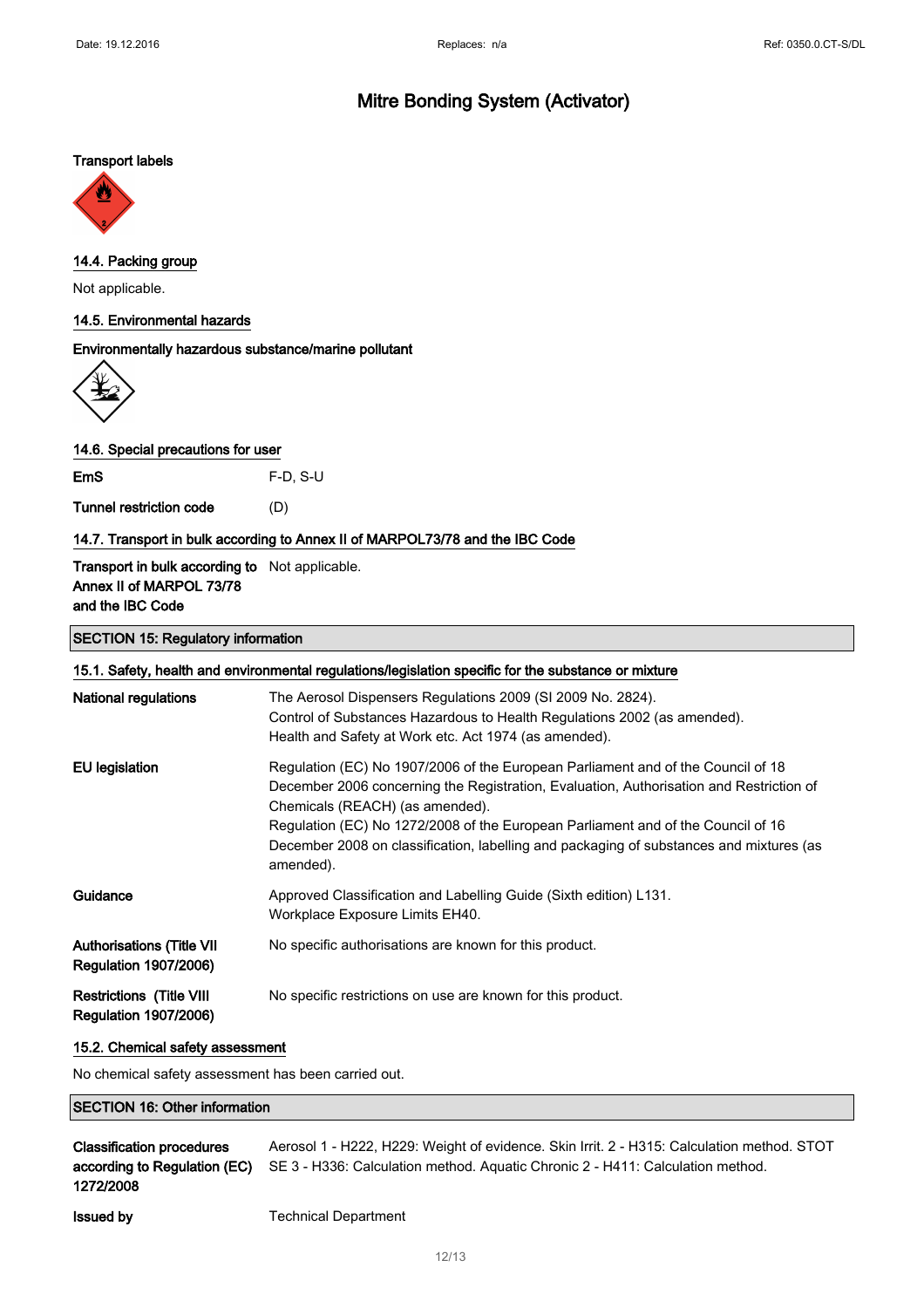# Mitre Bonding System (Activator)

#### Transport labels



## 14.4. Packing group

Not applicable.

#### 14.5. Environmental hazards

#### Environmentally hazardous substance/marine pollutant



14.6. Special precautions for user

EmS F-D, S-U

Tunnel restriction code (D)

#### 14.7. Transport in bulk according to Annex II of MARPOL73/78 and the IBC Code

Transport in bulk according to Not applicable. Annex II of MARPOL 73/78 and the IBC Code

### SECTION 15: Regulatory information

### 15.1. Safety, health and environmental regulations/legislation specific for the substance or mixture

| <b>National regulations</b>                                      | The Aerosol Dispensers Regulations 2009 (SI 2009 No. 2824).<br>Control of Substances Hazardous to Health Regulations 2002 (as amended).<br>Health and Safety at Work etc. Act 1974 (as amended).                                                                                                                                                                                                           |
|------------------------------------------------------------------|------------------------------------------------------------------------------------------------------------------------------------------------------------------------------------------------------------------------------------------------------------------------------------------------------------------------------------------------------------------------------------------------------------|
| EU legislation                                                   | Regulation (EC) No 1907/2006 of the European Parliament and of the Council of 18<br>December 2006 concerning the Registration, Evaluation, Authorisation and Restriction of<br>Chemicals (REACH) (as amended).<br>Regulation (EC) No 1272/2008 of the European Parliament and of the Council of 16<br>December 2008 on classification, labelling and packaging of substances and mixtures (as<br>amended). |
| Guidance                                                         | Approved Classification and Labelling Guide (Sixth edition) L131.<br>Workplace Exposure Limits EH40.                                                                                                                                                                                                                                                                                                       |
| <b>Authorisations (Title VII</b><br><b>Regulation 1907/2006)</b> | No specific authorisations are known for this product.                                                                                                                                                                                                                                                                                                                                                     |
| <b>Restrictions (Title VIII</b><br><b>Regulation 1907/2006)</b>  | No specific restrictions on use are known for this product.                                                                                                                                                                                                                                                                                                                                                |

#### 15.2. Chemical safety assessment

No chemical safety assessment has been carried out.

#### SECTION 16: Other information

| <b>Classification procedures</b> | Aerosol 1 - H222, H229: Weight of evidence. Skin Irrit. 2 - H315: Calculation method. STOT |
|----------------------------------|--------------------------------------------------------------------------------------------|
| according to Regulation (EC)     | SE 3 - H336: Calculation method. Aquatic Chronic 2 - H411: Calculation method.             |
| 1272/2008                        |                                                                                            |
| <b>Issued by</b>                 | <b>Technical Department</b>                                                                |